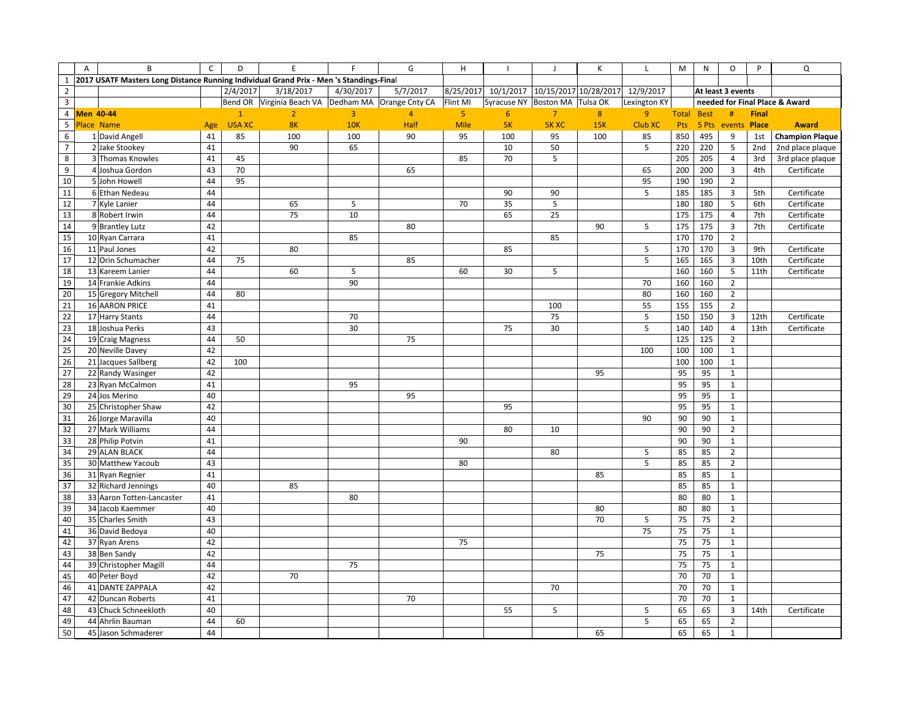|                          | $\overline{A}$ | B                                                                                       | $\mathsf{C}$ | D             | $\mathsf E$                                            | E         | G              | H              |                                |                | К   |                                 | M                 | N     | O                       | P            | Q                              |
|--------------------------|----------------|-----------------------------------------------------------------------------------------|--------------|---------------|--------------------------------------------------------|-----------|----------------|----------------|--------------------------------|----------------|-----|---------------------------------|-------------------|-------|-------------------------|--------------|--------------------------------|
| $\mathbf{1}$             |                | 2017 USATF Masters Long Distance Running Individual Grand Prix - Men 's Standings-Final |              |               |                                                        |           |                |                |                                |                |     |                                 |                   |       |                         |              |                                |
| $\overline{2}$           |                |                                                                                         |              | 2/4/2017      | 3/18/2017                                              | 4/30/2017 | 5/7/2017       | 8/25/2017      | 10/1/2017                      |                |     | 10/15/2017 10/28/2017 12/9/2017 |                   |       | At least 3 events       |              |                                |
| $\overline{\mathbf{3}}$  |                |                                                                                         |              |               | Bend OR Virginia Beach VA   Dedham MA   Orange Cnty CA |           |                | Flint MI       | Syracuse NY Boston MA Tulsa OK |                |     | Lexington KY                    |                   |       |                         |              | needed for Final Place & Award |
|                          |                | 4 Men 40-44                                                                             |              | $\mathbf{1}$  | $\overline{2}$                                         | 3         | $\overline{4}$ | 5 <sub>1</sub> | 6                              | $\overline{7}$ | 8   | 9                               | <b>Total Best</b> |       | #                       | <b>Final</b> |                                |
| $\overline{\phantom{0}}$ |                | Place Name                                                                              | Age          | <b>USA XC</b> | 8K                                                     | 10K       | Half           | Mile           | 5K                             | <b>5KXC</b>    | 15K | <b>Club XC</b>                  | Pts               | 5 Pts | events                  | Place        | <b>Award</b>                   |
| $\,6\,$                  |                | 1 David Angell                                                                          | 41           | 85            | 100                                                    | 100       | 90             | 95             | 100                            | 95             | 100 | 85                              | 850               | 495   | 9                       | 1st          | <b>Champion Plaque</b>         |
| $\overline{7}$           |                | 2 Jake Stookey                                                                          | 41           |               | 90                                                     | 65        |                |                | 10                             | 50             |     | 5                               | 220               | 220   | 5                       | 2nd          | 2nd place plaque               |
| $\bf 8$                  |                | 3 Thomas Knowles                                                                        | 41           | 45            |                                                        |           |                | 85             | 70                             | 5              |     |                                 | 205               | 205   | $\overline{a}$          | 3rd          | 3rd place plaque               |
| 9                        |                | 4 Joshua Gordon                                                                         | 43           | 70            |                                                        |           | 65             |                |                                |                |     | 65                              | 200               | 200   | $\overline{3}$          | 4th          | Certificate                    |
| 10                       |                | 5 John Howell                                                                           | 44           | 95            |                                                        |           |                |                |                                |                |     | 95                              | 190               | 190   | $\overline{2}$          |              |                                |
| 11                       |                | 6 Ethan Nedeau                                                                          | 44           |               |                                                        |           |                |                | 90                             | 90             |     | 5                               | 185               | 185   | $\overline{\mathbf{3}}$ | 5th          | Certificate                    |
| 12                       |                | 7 Kyle Lanier                                                                           | 44           |               | 65                                                     | 5         |                | 70             | 35                             | 5              |     |                                 | 180               | 180   | $\sf 5$                 | 6th          | Certificate                    |
| 13                       |                | 8 Robert Irwin                                                                          | 44           |               | 75                                                     | 10        |                |                | 65                             | 25             |     |                                 | 175               | 175   | $\overline{4}$          | 7th          | Certificate                    |
| 14                       |                | 9 Brantley Lutz                                                                         | 42           |               |                                                        |           | 80             |                |                                |                | 90  | 5                               | 175               | 175   | $\mathsf 3$             | 7th          | Certificate                    |
| 15                       |                | 10 Ryan Carrara                                                                         | 41           |               |                                                        | 85        |                |                |                                | 85             |     |                                 | 170               | 170   | $\overline{2}$          |              |                                |
| 16                       |                | 11 Paul Jones                                                                           | 42           |               | 80                                                     |           |                |                | 85                             |                |     | 5                               | 170               | 170   | $\overline{3}$          | 9th          | Certificate                    |
| 17                       |                | 12 Orin Schumacher                                                                      | 44           | 75            |                                                        |           | 85             |                |                                |                |     | 5                               | 165               | 165   | $\overline{3}$          | 10th         | Certificate                    |
| 18                       |                | 13 Kareem Lanier                                                                        | 44           |               | 60                                                     | 5         |                | 60             | 30                             | 5              |     |                                 | 160               | 160   | 5                       | 11th         | Certificate                    |
| 19                       |                | 14 Frankie Adkins                                                                       | 44           |               |                                                        | 90        |                |                |                                |                |     | 70                              | 160               | 160   | $\overline{2}$          |              |                                |
| 20                       |                | 15 Gregory Mitchell                                                                     | 44           | 80            |                                                        |           |                |                |                                |                |     | 80                              | 160               | 160   | $\overline{2}$          |              |                                |
| 21                       |                | 16 AARON PRICE                                                                          | 41           |               |                                                        |           |                |                |                                | 100            |     | 55                              | 155               | 155   | $\overline{2}$          |              |                                |
| 22                       |                | 17 Harry Stants                                                                         | 44           |               |                                                        | 70        |                |                |                                | 75             |     | $\sqrt{5}$                      | 150               | 150   | $\overline{3}$          | 12th         | Certificate                    |
| 23                       |                | 18 Joshua Perks                                                                         | 43           |               |                                                        | 30        |                |                | 75                             | 30             |     | 5                               | 140               | 140   | $\sqrt{4}$              | 13th         | Certificate                    |
| 24                       |                | 19 Craig Magness                                                                        | 44           | 50            |                                                        |           | 75             |                |                                |                |     |                                 | 125               | 125   | $\overline{2}$          |              |                                |
| 25                       |                | 20 Neville Davey                                                                        | 42           |               |                                                        |           |                |                |                                |                |     | 100                             | 100               | 100   | $\mathbf 1$             |              |                                |
| 26                       |                | 21 Jacques Sallberg                                                                     | 42           | 100           |                                                        |           |                |                |                                |                |     |                                 | 100               | 100   | $\mathbf{1}$            |              |                                |
| 27                       |                | 22 Randy Wasinger                                                                       | 42           |               |                                                        |           |                |                |                                |                | 95  |                                 | 95                | 95    | $\mathbf{1}$            |              |                                |
| 28                       |                | 23 Ryan McCalmon                                                                        | 41           |               |                                                        | 95        |                |                |                                |                |     |                                 | 95                | 95    | $\mathbf{1}$            |              |                                |
| 29                       |                | 24 Jos Merino                                                                           | 40           |               |                                                        |           | 95             |                |                                |                |     |                                 | 95                | 95    | $\mathbf{1}$            |              |                                |
| 30                       |                | 25 Christopher Shaw                                                                     | 42           |               |                                                        |           |                |                | 95                             |                |     |                                 | 95                | 95    | $\mathbf{1}$            |              |                                |
| 31                       |                | 26 Jorge Maravilla                                                                      | 40           |               |                                                        |           |                |                |                                |                |     | 90                              | 90                | 90    | $\mathbf{1}$            |              |                                |
| 32                       |                | 27 Mark Williams                                                                        | 44           |               |                                                        |           |                |                | 80                             | 10             |     |                                 | 90                | 90    | $\overline{2}$          |              |                                |
| 33                       |                | 28 Philip Potvin                                                                        | 41           |               |                                                        |           |                | 90             |                                |                |     |                                 | 90                | 90    | $\mathbf{1}$            |              |                                |
| 34                       |                | 29 ALAN BLACK                                                                           | 44           |               |                                                        |           |                |                |                                | 80             |     | 5                               | 85                | 85    | $\overline{2}$          |              |                                |
| 35                       |                | 30 Matthew Yacoub                                                                       | 43           |               |                                                        |           |                | 80             |                                |                |     | $\overline{5}$                  | 85                | 85    | $\overline{2}$          |              |                                |
| 36                       |                | 31 Ryan Regnier                                                                         | 41           |               |                                                        |           |                |                |                                |                | 85  |                                 | 85                | 85    | $\mathbf{1}$            |              |                                |
| 37                       |                | 32 Richard Jennings                                                                     | 40           |               | 85                                                     |           |                |                |                                |                |     |                                 | 85                | 85    | $\mathbf{1}$            |              |                                |
| 38                       |                | 33 Aaron Totten-Lancaster                                                               | 41           |               |                                                        | 80        |                |                |                                |                |     |                                 | 80                | 80    | $\mathbf 1$             |              |                                |
| 39                       |                | 34 Jacob Kaemmer                                                                        | 40           |               |                                                        |           |                |                |                                |                | 80  |                                 | 80                | 80    | $\mathbf{1}$            |              |                                |
| 40                       |                | 35 Charles Smith                                                                        | 43           |               |                                                        |           |                |                |                                |                | 70  | 5                               | 75                | 75    | $\overline{2}$          |              |                                |
| 41                       |                | 36 David Bedoya                                                                         | 40           |               |                                                        |           |                |                |                                |                |     | 75                              | 75                | 75    | $\mathbf{1}$            |              |                                |
| 42                       |                | 37 Ryan Arens                                                                           | 42           |               |                                                        |           |                | 75             |                                |                |     |                                 | 75                | 75    | $\mathbf{1}$            |              |                                |
| 43                       |                | 38 Ben Sandy                                                                            | 42           |               |                                                        |           |                |                |                                |                | 75  |                                 | 75                | 75    | $\mathbf{1}$            |              |                                |
| 44                       |                | 39 Christopher Magill                                                                   | 44           |               |                                                        | 75        |                |                |                                |                |     |                                 | 75                | 75    | $\mathbf{1}$            |              |                                |
| 45                       |                | 40 Peter Boyd                                                                           | 42           |               | 70                                                     |           |                |                |                                |                |     |                                 | 70                | 70    | $\mathbf{1}$            |              |                                |
| 46                       |                | 41 DANTE ZAPPALA                                                                        | 42           |               |                                                        |           |                |                |                                | 70             |     |                                 | 70                | 70    | $\mathbf{1}$            |              |                                |
| 47                       |                | 42 Duncan Roberts                                                                       | 41           |               |                                                        |           | 70             |                |                                |                |     |                                 | 70                | 70    | $\mathbf{1}$            |              |                                |
| 48                       |                | 43 Chuck Schneekloth                                                                    | 40           |               |                                                        |           |                |                | 55                             | 5              |     | $\sqrt{5}$                      | 65                | 65    | 3                       | 14th         | Certificate                    |
| 49                       |                | 44 Ahrlin Bauman                                                                        | 44           | 60            |                                                        |           |                |                |                                |                |     | 5                               | 65                | 65    | $\mathbf 2$             |              |                                |
| 50                       |                | 45 Jason Schmaderer                                                                     | 44           |               |                                                        |           |                |                |                                |                | 65  |                                 | 65                | 65    | $\,1\,$                 |              |                                |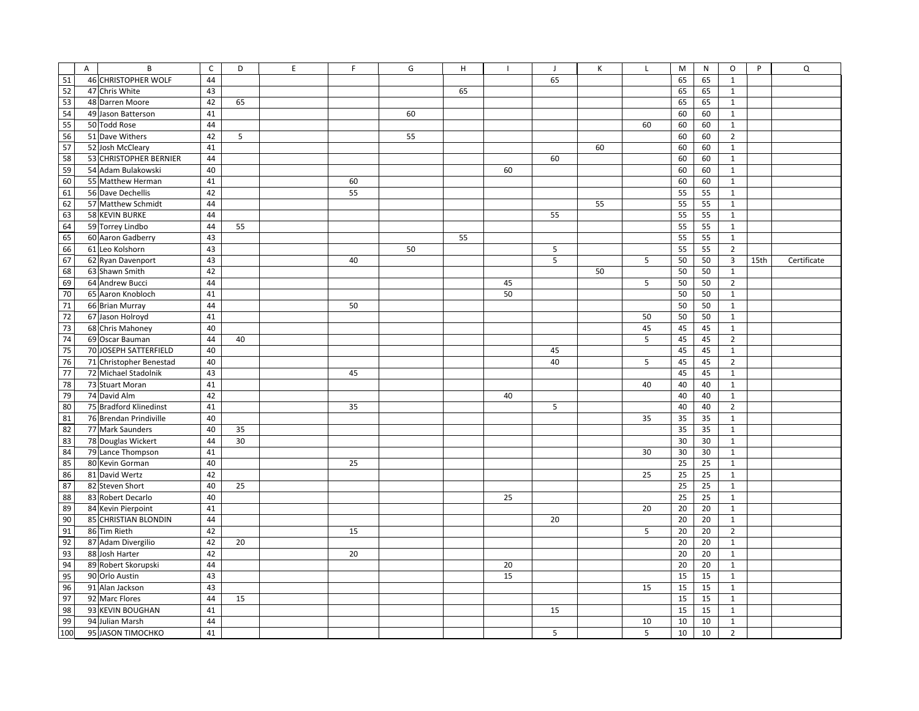|                 | $\mathsf{A}$ | B                       | $\mathsf{C}$ | D  | E | F  | G  | H  |    | J  | К  | т  | M  | N  | $\circ$        | P    | Q           |
|-----------------|--------------|-------------------------|--------------|----|---|----|----|----|----|----|----|----|----|----|----------------|------|-------------|
| $\overline{51}$ |              | 46 CHRISTOPHER WOLF     | 44           |    |   |    |    |    |    | 65 |    |    | 65 | 65 | $\mathbf{1}$   |      |             |
| 52              |              | 47 Chris White          | 43           |    |   |    |    | 65 |    |    |    |    | 65 | 65 | $\mathbf{1}$   |      |             |
| 53              |              | 48 Darren Moore         | 42           | 65 |   |    |    |    |    |    |    |    | 65 | 65 | $\mathbf{1}$   |      |             |
| 54              |              | 49 Jason Batterson      | 41           |    |   |    | 60 |    |    |    |    |    | 60 | 60 | $\mathbf{1}$   |      |             |
| 55              |              | 50 Todd Rose            | 44           |    |   |    |    |    |    |    |    | 60 | 60 | 60 | $\mathbf{1}$   |      |             |
| 56              |              | 51 Dave Withers         | 42           | 5  |   |    | 55 |    |    |    |    |    | 60 | 60 | $\overline{2}$ |      |             |
| 57              |              | 52 Josh McCleary        | 41           |    |   |    |    |    |    |    | 60 |    | 60 | 60 | $\mathbf{1}$   |      |             |
| 58              |              | 53 CHRISTOPHER BERNIER  | 44           |    |   |    |    |    |    | 60 |    |    | 60 | 60 | $\mathbf{1}$   |      |             |
| 59<br>60        |              | 54 Adam Bulakowski      | 40           |    |   |    |    |    | 60 |    |    |    | 60 | 60 | $\mathbf{1}$   |      |             |
| 61              |              | 55 Matthew Herman       | 41           |    |   | 60 |    |    |    |    |    |    | 60 | 60 | $\mathbf{1}$   |      |             |
| 62              |              | 56 Dave Dechellis       | 42           |    |   | 55 |    |    |    |    |    |    | 55 | 55 | $\mathbf{1}$   |      |             |
| 63              |              | 57 Matthew Schmidt      | 44           |    |   |    |    |    |    |    | 55 |    | 55 | 55 | $\mathbf{1}$   |      |             |
| 64              |              | 58 KEVIN BURKE          | 44           |    |   |    |    |    |    | 55 |    |    | 55 | 55 | $\mathbf{1}$   |      |             |
|                 |              | 59 Torrey Lindbo        | 44           | 55 |   |    |    |    |    |    |    |    | 55 | 55 | $\mathbf{1}$   |      |             |
| 65              |              | 60 Aaron Gadberry       | 43           |    |   |    |    | 55 |    |    |    |    | 55 | 55 | $\mathbf{1}$   |      |             |
| 66              |              | 61 Leo Kolshorn         | 43           |    |   |    | 50 |    |    | 5  |    |    | 55 | 55 | $\overline{2}$ |      |             |
| 67              |              | 62 Ryan Davenport       | 43           |    |   | 40 |    |    |    | 5  |    | 5  | 50 | 50 | $\overline{3}$ | 15th | Certificate |
| 68              |              | 63 Shawn Smith          | 42           |    |   |    |    |    |    |    | 50 |    | 50 | 50 | $\mathbf{1}$   |      |             |
| 69              |              | 64 Andrew Bucci         | 44           |    |   |    |    |    | 45 |    |    | 5  | 50 | 50 | $\overline{2}$ |      |             |
| 70              |              | 65 Aaron Knobloch       | 41           |    |   |    |    |    | 50 |    |    |    | 50 | 50 | $\mathbf{1}$   |      |             |
| 71              |              | 66 Brian Murray         | 44           |    |   | 50 |    |    |    |    |    |    | 50 | 50 | $\mathbf{1}$   |      |             |
| 72              |              | 67 Jason Holroyd        | 41           |    |   |    |    |    |    |    |    | 50 | 50 | 50 | $\mathbf{1}$   |      |             |
| 73              |              | 68 Chris Mahoney        | 40           |    |   |    |    |    |    |    |    | 45 | 45 | 45 | $\mathbf{1}$   |      |             |
| 74              |              | 69 Oscar Bauman         | 44           | 40 |   |    |    |    |    |    |    | 5  | 45 | 45 | $\overline{2}$ |      |             |
| 75              |              | 70 JOSEPH SATTERFIELD   | 40           |    |   |    |    |    |    | 45 |    |    | 45 | 45 | $\mathbf{1}$   |      |             |
| 76              |              | 71 Christopher Benestad | 40           |    |   |    |    |    |    | 40 |    | 5  | 45 | 45 | $\overline{2}$ |      |             |
| 77              |              | 72 Michael Stadolnik    | 43           |    |   | 45 |    |    |    |    |    |    | 45 | 45 | $\mathbf{1}$   |      |             |
| 78              |              | 73 Stuart Moran         | 41           |    |   |    |    |    |    |    |    | 40 | 40 | 40 | $\mathbf{1}$   |      |             |
| 79              |              | 74 David Alm            | 42           |    |   |    |    |    | 40 |    |    |    | 40 | 40 | $\mathbf{1}$   |      |             |
| 80              |              | 75 Bradford Klinedinst  | 41           |    |   | 35 |    |    |    | 5  |    |    | 40 | 40 | $\overline{2}$ |      |             |
| 81              |              | 76 Brendan Prindiville  | 40           |    |   |    |    |    |    |    |    | 35 | 35 | 35 | $\mathbf{1}$   |      |             |
| 82              |              | 77 Mark Saunders        | 40           | 35 |   |    |    |    |    |    |    |    | 35 | 35 | $\mathbf{1}$   |      |             |
| 83              |              | 78 Douglas Wickert      | 44           | 30 |   |    |    |    |    |    |    |    | 30 | 30 | $\mathbf{1}$   |      |             |
| 84              |              | 79 Lance Thompson       | 41           |    |   |    |    |    |    |    |    | 30 | 30 | 30 | $\mathbf{1}$   |      |             |
| 85              |              | 80 Kevin Gorman         | 40           |    |   | 25 |    |    |    |    |    |    | 25 | 25 | $\mathbf{1}$   |      |             |
| 86              |              | 81 David Wertz          | 42           |    |   |    |    |    |    |    |    | 25 | 25 | 25 | $\mathbf{1}$   |      |             |
| 87              |              | 82 Steven Short         | 40           | 25 |   |    |    |    |    |    |    |    | 25 | 25 | $\mathbf{1}$   |      |             |
| 88              |              | 83 Robert Decarlo       | 40           |    |   |    |    |    | 25 |    |    |    | 25 | 25 | $\mathbf{1}$   |      |             |
| 89              |              | 84 Kevin Pierpoint      | 41           |    |   |    |    |    |    |    |    | 20 | 20 | 20 | $\mathbf{1}$   |      |             |
| 90              |              | 85 CHRISTIAN BLONDIN    | 44           |    |   |    |    |    |    | 20 |    |    | 20 | 20 | $\mathbf{1}$   |      |             |
| 91              |              | 86 Tim Rieth            | 42           |    |   | 15 |    |    |    |    |    | 5  | 20 | 20 | $\overline{2}$ |      |             |
| 92              |              | 87 Adam Divergilio      | 42           | 20 |   |    |    |    |    |    |    |    | 20 | 20 | $\mathbf{1}$   |      |             |
| 93              |              | 88 Josh Harter          | 42           |    |   | 20 |    |    |    |    |    |    | 20 | 20 | $\mathbf{1}$   |      |             |
| 94              |              | 89 Robert Skorupski     | 44           |    |   |    |    |    | 20 |    |    |    | 20 | 20 | $\mathbf{1}$   |      |             |
| 95              |              | 90 Orlo Austin          | 43           |    |   |    |    |    | 15 |    |    |    | 15 | 15 | $\mathbf{1}$   |      |             |
| 96              |              | 91 Alan Jackson         | 43           |    |   |    |    |    |    |    |    | 15 | 15 | 15 | $\mathbf{1}$   |      |             |
| 97              |              | 92 Marc Flores          | 44           | 15 |   |    |    |    |    |    |    |    | 15 | 15 | $\mathbf{1}$   |      |             |
| 98              |              | 93 KEVIN BOUGHAN        | 41           |    |   |    |    |    |    | 15 |    |    | 15 | 15 | $\mathbf{1}$   |      |             |
| 99              |              | 94 Julian Marsh         | 44           |    |   |    |    |    |    |    |    | 10 | 10 | 10 | $\mathbf{1}$   |      |             |
| 100             |              | 95 JASON TIMOCHKO       | 41           |    |   |    |    |    |    | 5  |    | 5  | 10 | 10 | $\overline{2}$ |      |             |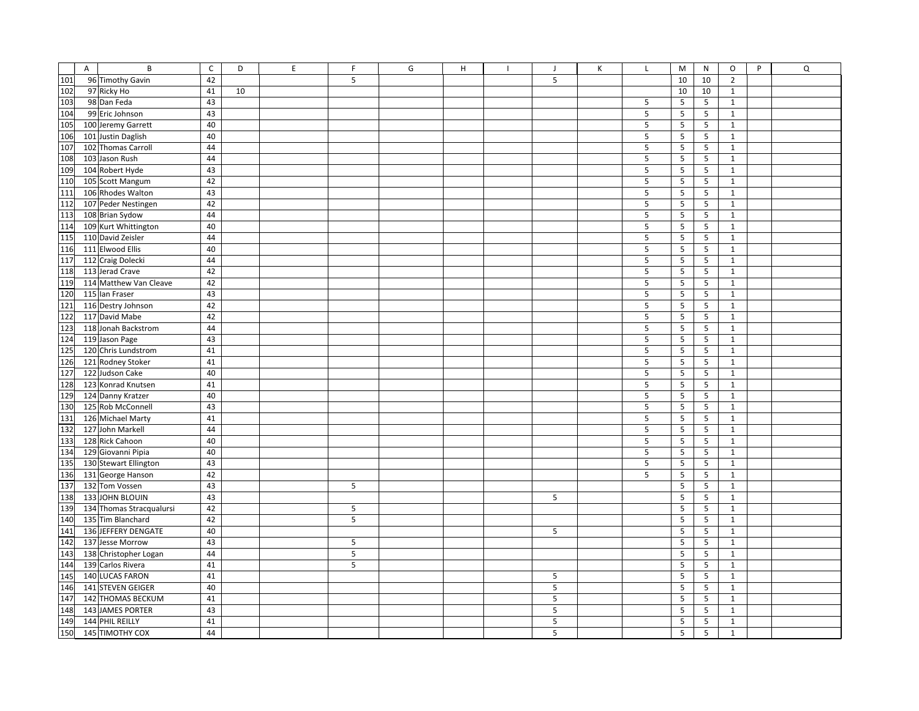|     | $\mathsf{A}$ | B                        | $\mathsf C$ | D  | E | E | G | H | $\mathbf{I}$ | J | К | L              | M               | N              | $\mathsf O$    | P | $\Omega$ |
|-----|--------------|--------------------------|-------------|----|---|---|---|---|--------------|---|---|----------------|-----------------|----------------|----------------|---|----------|
| 101 |              | 96 Timothy Gavin         | 42          |    |   | 5 |   |   |              | 5 |   |                | 10              | 10             | $\overline{2}$ |   |          |
| 102 |              | 97 Ricky Ho              | 41          | 10 |   |   |   |   |              |   |   |                | 10              | 10             | $\mathbf{1}$   |   |          |
| 103 |              | 98 Dan Feda              | 43          |    |   |   |   |   |              |   |   | 5              | 5               | 5              | $\mathbf 1$    |   |          |
| 104 |              | 99 Eric Johnson          | 43          |    |   |   |   |   |              |   |   | 5              | 5               | 5              | $\mathbf{1}$   |   |          |
| 105 |              | 100 Jeremy Garrett       | 40          |    |   |   |   |   |              |   |   | 5              | 5               | 5              | $\mathbf{1}$   |   |          |
| 106 |              | 101 Justin Daglish       | 40          |    |   |   |   |   |              |   |   | 5              | 5               | 5              | $\mathbf{1}$   |   |          |
| 107 |              | 102 Thomas Carroll       | 44          |    |   |   |   |   |              |   |   | 5              | 5               | 5              | $\mathbf{1}$   |   |          |
| 108 |              | 103 Jason Rush           | 44          |    |   |   |   |   |              |   |   | 5              | 5               | 5              | $\mathbf 1$    |   |          |
| 109 |              | 104 Robert Hyde          | 43          |    |   |   |   |   |              |   |   | 5              | 5               | 5              | $\mathbf{1}$   |   |          |
| 110 |              | 105 Scott Mangum         | 42          |    |   |   |   |   |              |   |   | 5              | 5               | 5              | $\mathbf 1$    |   |          |
| 111 |              | 106 Rhodes Walton        | 43          |    |   |   |   |   |              |   |   | 5              | $5\phantom{.0}$ | 5              | $\mathbf 1$    |   |          |
| 112 |              | 107 Peder Nestingen      | 42          |    |   |   |   |   |              |   |   | 5              | 5               | 5              | $\mathbf 1$    |   |          |
| 113 |              | 108 Brian Sydow          | 44          |    |   |   |   |   |              |   |   | 5              | 5               | 5              | $\mathbf{1}$   |   |          |
| 114 |              | 109 Kurt Whittington     | 40          |    |   |   |   |   |              |   |   | 5              | 5               | 5              | $\mathbf 1$    |   |          |
| 115 |              | 110 David Zeisler        | 44          |    |   |   |   |   |              |   |   | 5              | 5               | 5              | $\mathbf{1}$   |   |          |
| 116 |              | 111 Elwood Ellis         | 40          |    |   |   |   |   |              |   |   | 5              | 5               | 5              | $\mathbf 1$    |   |          |
| 117 |              | 112 Craig Dolecki        | 44          |    |   |   |   |   |              |   |   | 5              | 5               | 5              | $\mathbf 1$    |   |          |
| 118 |              | 113 Jerad Crave          | 42          |    |   |   |   |   |              |   |   | 5              | 5               | 5              | $\mathbf 1$    |   |          |
| 119 |              | 114 Matthew Van Cleave   | 42          |    |   |   |   |   |              |   |   | 5              | 5               | 5              | $\mathbf{1}$   |   |          |
| 120 |              | 115 Ian Fraser           | 43          |    |   |   |   |   |              |   |   | 5              | 5               | 5              | $\mathbf{1}$   |   |          |
| 121 |              | 116 Destry Johnson       | 42          |    |   |   |   |   |              |   |   | 5              | 5               | 5              | $\mathbf 1$    |   |          |
| 122 |              | 117 David Mabe           | 42          |    |   |   |   |   |              |   |   | 5              | 5               | 5              | $\mathbf 1$    |   |          |
| 123 |              | 118 Jonah Backstrom      | 44          |    |   |   |   |   |              |   |   | 5              | 5               | 5              | $\mathbf{1}$   |   |          |
| 124 |              | 119 Jason Page           | 43          |    |   |   |   |   |              |   |   | 5              | $5\phantom{.0}$ | 5              | $\mathbf{1}$   |   |          |
| 125 |              | 120 Chris Lundstrom      | 41          |    |   |   |   |   |              |   |   | 5              | 5               | 5              | $\mathbf 1$    |   |          |
| 126 |              | 121 Rodney Stoker        | 41          |    |   |   |   |   |              |   |   | 5              | 5               | 5              | $\mathbf{1}$   |   |          |
| 127 |              | 122 Judson Cake          | 40          |    |   |   |   |   |              |   |   | 5              | 5               | 5              | $\mathbf 1$    |   |          |
| 128 |              | 123 Konrad Knutsen       | 41          |    |   |   |   |   |              |   |   | 5              | 5               | 5              | $\mathbf{1}$   |   |          |
| 129 |              | 124 Danny Kratzer        | 40          |    |   |   |   |   |              |   |   | 5              | 5               | 5              | $\mathbf{1}$   |   |          |
| 130 |              | 125 Rob McConnell        | 43          |    |   |   |   |   |              |   |   | 5              | 5               | 5              | $\mathbf{1}$   |   |          |
| 131 |              | 126 Michael Marty        | 41          |    |   |   |   |   |              |   |   | 5              | 5               | 5              | $\mathbf 1$    |   |          |
| 132 |              | 127 John Markell         | 44          |    |   |   |   |   |              |   |   | 5              | 5               | 5              | $\mathbf{1}$   |   |          |
| 133 |              | 128 Rick Cahoon          | 40          |    |   |   |   |   |              |   |   | 5              | 5               | 5              | $\mathbf 1$    |   |          |
| 134 |              | 129 Giovanni Pipia       | 40          |    |   |   |   |   |              |   |   | $\overline{5}$ | 5               | $\overline{5}$ | $\mathbf{1}$   |   |          |
| 135 |              | 130 Stewart Ellington    | 43          |    |   |   |   |   |              |   |   | 5              | 5               | 5              | $\mathbf 1$    |   |          |
| 136 |              | 131 George Hanson        | 42          |    |   |   |   |   |              |   |   | 5              | 5               | 5              | $\mathbf{1}$   |   |          |
| 137 |              | 132 Tom Vossen           | 43          |    |   | 5 |   |   |              |   |   |                | $5\phantom{.0}$ | 5              | $\mathbf{1}$   |   |          |
| 138 |              | 133 JOHN BLOUIN          | 43          |    |   |   |   |   |              | 5 |   |                | 5               | 5              | $\mathbf 1$    |   |          |
| 139 |              | 134 Thomas Stracqualursi | 42          |    |   | 5 |   |   |              |   |   |                | 5               | 5              | $\mathbf 1$    |   |          |
| 140 |              | 135 Tim Blanchard        | 42          |    |   | 5 |   |   |              |   |   |                | 5               | 5              | $\mathbf 1$    |   |          |
| 141 |              | 136 JEFFERY DENGATE      | 40          |    |   |   |   |   |              | 5 |   |                | 5               | 5              | $\mathbf 1$    |   |          |
| 142 |              | 137 Jesse Morrow         | 43          |    |   | 5 |   |   |              |   |   |                | 5               | $\sqrt{5}$     | $\mathbf{1}$   |   |          |
| 143 |              | 138 Christopher Logan    | 44          |    |   | 5 |   |   |              |   |   |                | 5               | 5              | $\mathbf{1}$   |   |          |
| 144 |              | 139 Carlos Rivera        | 41          |    |   | 5 |   |   |              |   |   |                | 5               | 5              | $\mathbf 1$    |   |          |
| 145 |              | 140 LUCAS FARON          | 41          |    |   |   |   |   |              | 5 |   |                | 5               | 5              | $\mathbf{1}$   |   |          |
| 146 |              | 141 STEVEN GEIGER        | 40          |    |   |   |   |   |              | 5 |   |                | 5               | 5              | $\mathbf 1$    |   |          |
| 147 |              | 142 THOMAS BECKUM        | 41          |    |   |   |   |   |              | 5 |   |                | 5               | 5              | $\mathbf{1}$   |   |          |
| 148 |              | 143 JAMES PORTER         | 43          |    |   |   |   |   |              | 5 |   |                | 5               | 5              | $\mathbf{1}$   |   |          |
| 149 |              | 144 PHIL REILLY          | 41          |    |   |   |   |   |              | 5 |   |                | 5               | 5              | $\mathbf{1}$   |   |          |
| 150 |              | 145 TIMOTHY COX          | 44          |    |   |   |   |   |              | 5 |   |                | 5               | 5              | $\mathbf{1}$   |   |          |
|     |              |                          |             |    |   |   |   |   |              |   |   |                |                 |                |                |   |          |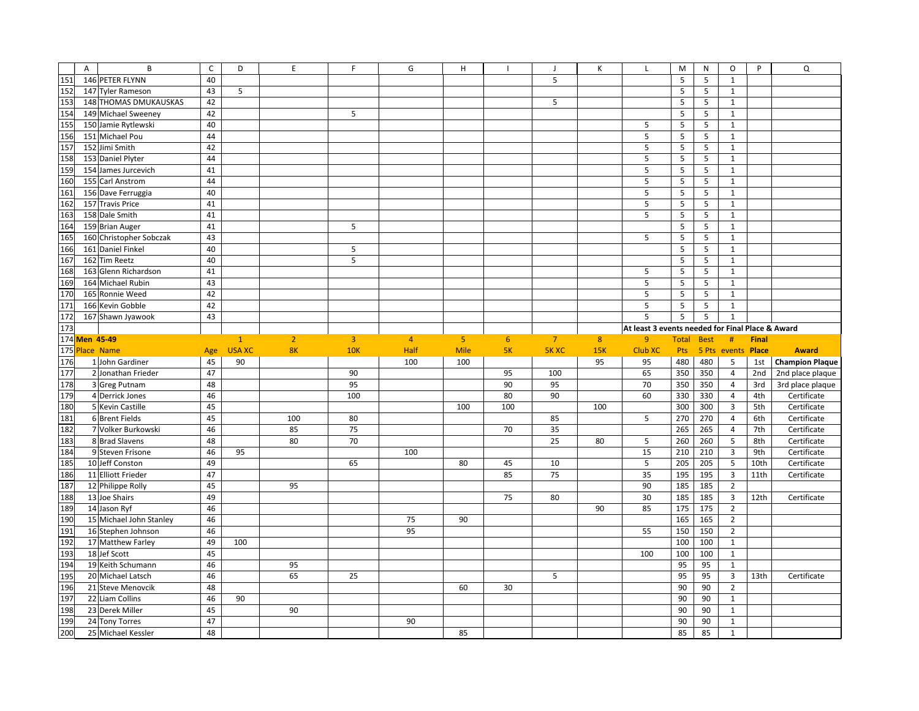|            | A                 | B                                     | $\mathsf{C}$ | D             | E              | F               | G              | н              |                | $\blacksquare$ | К   |                                                  | M          | N           | O                       | P            | Q                               |
|------------|-------------------|---------------------------------------|--------------|---------------|----------------|-----------------|----------------|----------------|----------------|----------------|-----|--------------------------------------------------|------------|-------------|-------------------------|--------------|---------------------------------|
| 151        |                   | 146 PETER FLYNN                       | 40           |               |                |                 |                |                |                | 5              |     |                                                  | 5          | 5           | $\mathbf{1}$            |              |                                 |
| 152        |                   | 147 Tyler Rameson                     | 43           | 5             |                |                 |                |                |                |                |     |                                                  | 5          | 5           | $\mathbf{1}$            |              |                                 |
| 153        |                   | 148 THOMAS DMUKAUSKAS                 | 42           |               |                |                 |                |                |                | 5              |     |                                                  | 5          | 5           | $1\,$                   |              |                                 |
| 154        |                   | 149 Michael Sweeney                   | 42           |               |                | 5               |                |                |                |                |     |                                                  | 5          | 5           | $\mathbf{1}$            |              |                                 |
| 155        |                   | 150 Jamie Rytlewski                   | 40           |               |                |                 |                |                |                |                |     | 5                                                | 5          | 5           | $\mathbf{1}$            |              |                                 |
| 156        |                   | 151 Michael Pou                       | 44           |               |                |                 |                |                |                |                |     | 5                                                | 5          | 5           | $\mathbf{1}$            |              |                                 |
| 157        |                   | 152 Jimi Smith                        | 42           |               |                |                 |                |                |                |                |     | $\mathsf S$                                      | 5          | 5           | $\mathbf{1}$            |              |                                 |
| 158        |                   | 153 Daniel Plyter                     | 44           |               |                |                 |                |                |                |                |     | 5                                                | 5          | 5           | $\mathbf{1}$            |              |                                 |
| 159        |                   | 154 James Jurcevich                   | 41           |               |                |                 |                |                |                |                |     | 5                                                | 5          | 5           | $\mathbf{1}$            |              |                                 |
| 160        |                   | 155 Carl Anstrom                      | 44           |               |                |                 |                |                |                |                |     | 5                                                | 5          | 5           | $\mathbf{1}$            |              |                                 |
| 161        |                   | 156 Dave Ferruggia                    | 40           |               |                |                 |                |                |                |                |     | 5                                                | 5          | 5           | $\mathbf{1}$            |              |                                 |
| 162        |                   | 157 Travis Price                      | 41           |               |                |                 |                |                |                |                |     | $\sf 5$                                          | 5          | 5           | $1\,$                   |              |                                 |
| 163        |                   | 158 Dale Smith                        | 41           |               |                |                 |                |                |                |                |     | 5                                                | 5          | 5           | $\mathbf{1}$            |              |                                 |
| 164        |                   | 159 Brian Auger                       | 41           |               |                | 5               |                |                |                |                |     |                                                  | 5          | 5           | $\mathbf{1}$            |              |                                 |
| 165        |                   | 160 Christopher Sobczak               | 43           |               |                |                 |                |                |                |                |     | 5                                                | 5          | 5           | $\mathbf{1}$            |              |                                 |
| 166        |                   | 161 Daniel Finkel                     | 40           |               |                | 5               |                |                |                |                |     |                                                  | 5          | 5           | $1\,$                   |              |                                 |
| 167        |                   | 162 Tim Reetz                         | 40           |               |                | $5\overline{5}$ |                |                |                |                |     |                                                  | 5          | 5           | $\mathbf{1}$            |              |                                 |
| 168        |                   | 163 Glenn Richardson                  | 41           |               |                |                 |                |                |                |                |     | 5                                                | 5          | 5           | $\mathbf{1}$            |              |                                 |
| 169        |                   | 164 Michael Rubin                     | 43           |               |                |                 |                |                |                |                |     | 5                                                | 5          | 5           | $\mathbf{1}$            |              |                                 |
| 170        |                   | 165 Ronnie Weed                       | 42           |               |                |                 |                |                |                |                |     | 5                                                | 5          | 5           | $\mathbf{1}$            |              |                                 |
| 171        |                   | 166 Kevin Gobble                      | 42           |               |                |                 |                |                |                |                |     | $\overline{5}$                                   | 5          | 5           | $\mathbf{1}$            |              |                                 |
| 172        |                   | 167 Shawn Jyawook                     | 43           |               |                |                 |                |                |                |                |     | 5                                                | 5          | 5           | $\mathbf{1}$            |              |                                 |
| 173        |                   |                                       |              |               |                |                 |                |                |                |                |     | At least 3 events needed for Final Place & Award |            |             |                         |              |                                 |
|            | 174 Men 45-49     |                                       |              | $\mathbf{1}$  | $\overline{2}$ | $\overline{3}$  | $\overline{4}$ | 5 <sup>1</sup> | 6 <sup>1</sup> | $\overline{7}$ | 8   | 9 <sup>°</sup>                                   | Total      | <b>Best</b> | $\#$                    | <b>Final</b> |                                 |
|            |                   |                                       |              |               |                | 10K             |                |                |                |                |     |                                                  |            |             |                         |              |                                 |
|            | <b>Place Name</b> |                                       |              |               |                |                 |                |                |                |                |     |                                                  |            |             |                         |              |                                 |
| 175        |                   |                                       | Age          | <b>USA XC</b> | <b>8K</b>      |                 | Half           | <b>Mile</b>    | 5K             | <b>5K XC</b>   | 15K | Club XC                                          | Pts        |             | 5 Pts events Place      |              | <b>Award</b>                    |
| 176        |                   | 1 John Gardiner<br>2 Jonathan Frieder | 45           | 90            |                |                 | 100            | 100            |                |                | 95  | 95                                               | 480        | 480         | 5                       | 1st          | <b>Champion Plaque</b>          |
| 177        |                   |                                       | 47           |               |                | 90<br>95        |                |                | 95<br>90       | 100<br>95      |     | 65<br>70                                         | 350        | 350<br>350  | 4<br>4                  | 2nd<br>3rd   | 2nd place plaque                |
| 178        |                   | 3 Greg Putnam<br>4 Derrick Jones      | 48<br>46     |               |                | 100             |                |                | 80             | 90             |     | 60                                               | 350<br>330 | 330         | $\overline{4}$          | 4th          | 3rd place plaque<br>Certificate |
| 179        |                   | 5 Kevin Castille                      | 45           |               |                |                 |                | 100            | 100            |                | 100 |                                                  | 300        | 300         | 3                       | 5th          | Certificate                     |
| 180        |                   | 6 Brent Fields                        | 45           |               | 100            | 80              |                |                |                | 85             |     | 5                                                | 270        | 270         | $\overline{4}$          | 6th          | Certificate                     |
| 181        |                   | 7 Volker Burkowski                    | 46           |               | 85             | 75              |                |                | 70             | 35             |     |                                                  | 265        | 265         | $\overline{4}$          | 7th          | Certificate                     |
| 182        |                   | 8 Brad Slavens                        | 48           |               | 80             | 70              |                |                |                | 25             | 80  | 5                                                | 260        | 260         | 5                       | 8th          | Certificate                     |
| 183<br>184 |                   | 9 Steven Frisone                      | 46           | 95            |                |                 | 100            |                |                |                |     | 15                                               | 210        | 210         | 3                       | 9th          | Certificate                     |
| 185        |                   | 10 Jeff Conston                       | 49           |               |                | 65              |                | 80             | 45             | 10             |     | 5                                                | 205        | 205         | 5                       | 10th         | Certificate                     |
| 186        |                   | 11 Elliott Frieder                    | 47           |               |                |                 |                |                | 85             | 75             |     | 35                                               | 195        | 195         | $\overline{3}$          | 11th         | Certificate                     |
| 187        |                   | 12 Philippe Rolly                     | 45           |               | 95             |                 |                |                |                |                |     | 90                                               | 185        | 185         | $\overline{2}$          |              |                                 |
| 188        |                   | 13 Joe Shairs                         | 49           |               |                |                 |                |                | 75             | 80             |     | 30                                               | 185        | 185         | $\overline{\mathbf{3}}$ | 12th         | Certificate                     |
| 189        |                   | 14 Jason Ryf                          | 46           |               |                |                 |                |                |                |                | 90  | 85                                               | 175        | 175         | $\overline{2}$          |              |                                 |
| 190        |                   | 15 Michael John Stanley               | 46           |               |                |                 | 75             | 90             |                |                |     |                                                  | 165        | 165         | $\overline{2}$          |              |                                 |
| 191        |                   | 16 Stephen Johnson                    | 46           |               |                |                 | 95             |                |                |                |     | 55                                               | 150        | 150         | $\overline{2}$          |              |                                 |
| 192        |                   | 17 Matthew Farley                     | 49           | 100           |                |                 |                |                |                |                |     |                                                  | 100        | 100         | $\mathbf{1}$            |              |                                 |
| 193        |                   | 18 Jef Scott                          | 45           |               |                |                 |                |                |                |                |     | 100                                              | 100        | 100         | $1\,$                   |              |                                 |
| 194        |                   | 19 Keith Schumann                     | 46           |               | 95             |                 |                |                |                |                |     |                                                  | 95         | 95          | $\mathbf{1}$            |              |                                 |
| 195        |                   | 20 Michael Latsch                     | 46           |               | 65             | 25              |                |                |                | 5              |     |                                                  | 95         | 95          | $\overline{3}$          | 13th         | Certificate                     |
| 196        |                   | 21 Steve Menovcik                     | 48           |               |                |                 |                | 60             | 30             |                |     |                                                  | 90         | 90          | $\overline{2}$          |              |                                 |
| 197        |                   | 22 Liam Collins                       | 46           | 90            |                |                 |                |                |                |                |     |                                                  | 90         | 90          | $\mathbf{1}$            |              |                                 |
| 198        |                   | 23 Derek Miller                       | 45           |               | 90             |                 |                |                |                |                |     |                                                  | 90         | 90          | $\mathbf{1}$            |              |                                 |
| 199<br>200 |                   | 24 Tony Torres                        | 47           |               |                |                 | 90             |                |                |                |     |                                                  | 90         | 90          | $\mathbf{1}$            |              |                                 |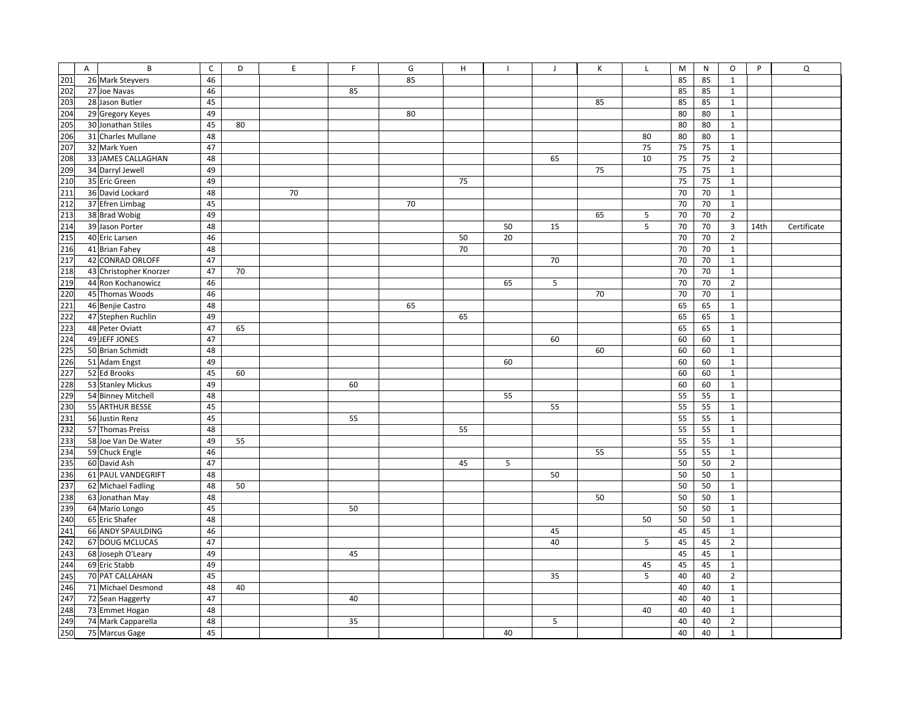|     | $\overline{A}$ | B                      | $\mathsf{C}$ | D  | E  | $\mathsf F$ | G  | H  |    | $\mathbf{J}$ | К  | $\mathsf{L}$ | M  | N  | $\circ$                 | P    | Q           |
|-----|----------------|------------------------|--------------|----|----|-------------|----|----|----|--------------|----|--------------|----|----|-------------------------|------|-------------|
| 201 |                | 26 Mark Steyvers       | 46           |    |    |             | 85 |    |    |              |    |              | 85 | 85 | $\mathbf{1}$            |      |             |
| 202 |                | 27 Joe Navas           | 46           |    |    | 85          |    |    |    |              |    |              | 85 | 85 | $\mathbf{1}$            |      |             |
| 203 |                | 28 Jason Butler        | 45           |    |    |             |    |    |    |              | 85 |              | 85 | 85 | $\mathbf{1}$            |      |             |
| 204 |                | 29 Gregory Keyes       | 49           |    |    |             | 80 |    |    |              |    |              | 80 | 80 | $\mathbf{1}$            |      |             |
| 205 |                | 30 Jonathan Stiles     | 45           | 80 |    |             |    |    |    |              |    |              | 80 | 80 | $\mathbf{1}$            |      |             |
| 206 |                | 31 Charles Mullane     | 48           |    |    |             |    |    |    |              |    | 80           | 80 | 80 | $\mathbf{1}$            |      |             |
| 207 |                | 32 Mark Yuen           | 47           |    |    |             |    |    |    |              |    | 75           | 75 | 75 | $\mathbf{1}$            |      |             |
| 208 |                | 33 JAMES CALLAGHAN     | 48           |    |    |             |    |    |    | 65           |    | 10           | 75 | 75 | $\overline{2}$          |      |             |
| 209 |                | 34 Darryl Jewell       | 49           |    |    |             |    |    |    |              | 75 |              | 75 | 75 | $\mathbf{1}$            |      |             |
| 210 |                | 35 Eric Green          | 49           |    |    |             |    | 75 |    |              |    |              | 75 | 75 | $\mathbf{1}$            |      |             |
| 211 |                | 36 David Lockard       | 48           |    | 70 |             |    |    |    |              |    |              | 70 | 70 | $\mathbf{1}$            |      |             |
| 212 |                | 37 Efren Limbag        | 45           |    |    |             | 70 |    |    |              |    |              | 70 | 70 | $\mathbf{1}$            |      |             |
| 213 |                | 38 Brad Wobig          | 49           |    |    |             |    |    |    |              | 65 | 5            | 70 | 70 | $\overline{2}$          |      |             |
| 214 |                | 39 Jason Porter        | 48           |    |    |             |    |    | 50 | 15           |    | 5            | 70 | 70 | $\overline{\mathbf{3}}$ | 14th | Certificate |
| 215 |                | 40 Eric Larsen         | 46           |    |    |             |    | 50 | 20 |              |    |              | 70 | 70 | $\overline{2}$          |      |             |
| 216 |                | 41 Brian Fahey         | 48           |    |    |             |    | 70 |    |              |    |              | 70 | 70 | $\mathbf{1}$            |      |             |
| 217 |                | 42 CONRAD ORLOFF       | 47           |    |    |             |    |    |    | 70           |    |              | 70 | 70 | $\mathbf{1}$            |      |             |
| 218 |                | 43 Christopher Knorzer | 47           | 70 |    |             |    |    |    |              |    |              | 70 | 70 | $\mathbf{1}$            |      |             |
| 219 |                | 44 Ron Kochanowicz     | 46           |    |    |             |    |    | 65 | 5            |    |              | 70 | 70 | $\overline{2}$          |      |             |
| 220 |                | 45 Thomas Woods        | 46           |    |    |             |    |    |    |              | 70 |              | 70 | 70 | $\mathbf{1}$            |      |             |
| 221 |                | 46 Benjie Castro       | 48           |    |    |             | 65 |    |    |              |    |              | 65 | 65 | $\mathbf{1}$            |      |             |
| 222 |                | 47 Stephen Ruchlin     | 49           |    |    |             |    | 65 |    |              |    |              | 65 | 65 | $\mathbf{1}$            |      |             |
| 223 |                | 48 Peter Oviatt        | 47           | 65 |    |             |    |    |    |              |    |              | 65 | 65 | $\mathbf{1}$            |      |             |
| 224 |                | 49 JEFF JONES          | 47           |    |    |             |    |    |    | 60           |    |              | 60 | 60 | $\mathbf{1}$            |      |             |
| 225 |                | 50 Brian Schmidt       | 48           |    |    |             |    |    |    |              | 60 |              | 60 | 60 | $\mathbf{1}$            |      |             |
| 226 |                | 51 Adam Engst          | 49           |    |    |             |    |    | 60 |              |    |              | 60 | 60 | $\mathbf{1}$            |      |             |
| 227 |                | 52 Ed Brooks           | 45           | 60 |    |             |    |    |    |              |    |              | 60 | 60 | $\mathbf{1}$            |      |             |
| 228 |                | 53 Stanley Mickus      | 49           |    |    | 60          |    |    |    |              |    |              | 60 | 60 | $\mathbf{1}$            |      |             |
| 229 |                | 54 Binney Mitchell     | 48           |    |    |             |    |    | 55 |              |    |              | 55 | 55 | $\mathbf{1}$            |      |             |
| 230 |                | 55 ARTHUR BESSE        | 45           |    |    |             |    |    |    | 55           |    |              | 55 | 55 | $\mathbf{1}$            |      |             |
| 231 |                | 56 Justin Renz         | 45           |    |    | 55          |    |    |    |              |    |              | 55 | 55 | $\mathbf{1}$            |      |             |
| 232 |                | 57 Thomas Preiss       | 48           |    |    |             |    | 55 |    |              |    |              | 55 | 55 | $\mathbf{1}$            |      |             |
| 233 |                | 58 Joe Van De Water    | 49           | 55 |    |             |    |    |    |              |    |              | 55 | 55 | $\mathbf{1}$            |      |             |
| 234 |                | 59 Chuck Engle         | 46           |    |    |             |    |    |    |              | 55 |              | 55 | 55 | $\mathbf{1}$            |      |             |
| 235 |                | 60 David Ash           | 47           |    |    |             |    | 45 | 5  |              |    |              | 50 | 50 | $\overline{2}$          |      |             |
| 236 |                | 61 PAUL VANDEGRIFT     | 48           |    |    |             |    |    |    | 50           |    |              | 50 | 50 | $\mathbf{1}$            |      |             |
| 237 |                | 62 Michael Fadling     | 48           | 50 |    |             |    |    |    |              |    |              | 50 | 50 | $\mathbf{1}$            |      |             |
| 238 |                | 63 Jonathan May        | 48           |    |    |             |    |    |    |              | 50 |              | 50 | 50 | $\mathbf{1}$            |      |             |
| 239 |                | 64 Mario Longo         | 45           |    |    | 50          |    |    |    |              |    |              | 50 | 50 | $\mathbf{1}$            |      |             |
| 240 |                | 65 Eric Shafer         | 48           |    |    |             |    |    |    |              |    | 50           | 50 | 50 | $\mathbf{1}$            |      |             |
| 241 |                | 66 ANDY SPAULDING      | 46           |    |    |             |    |    |    | 45           |    |              | 45 | 45 | $\mathbf{1}$            |      |             |
| 242 |                | 67 DOUG MCLUCAS        | 47           |    |    |             |    |    |    | 40           |    | 5            | 45 | 45 | $\mathbf 2$             |      |             |
| 243 |                | 68 Joseph O'Leary      | 49           |    |    | 45          |    |    |    |              |    |              | 45 | 45 | $\mathbf{1}$            |      |             |
| 244 |                | 69 Eric Stabb          | 49           |    |    |             |    |    |    |              |    | 45           | 45 | 45 | $\mathbf{1}$            |      |             |
| 245 |                | 70 PAT CALLAHAN        | 45           |    |    |             |    |    |    | 35           |    | 5            | 40 | 40 | $\overline{2}$          |      |             |
| 246 |                | 71 Michael Desmond     | 48           | 40 |    |             |    |    |    |              |    |              | 40 | 40 | $\mathbf{1}$            |      |             |
| 247 |                | 72 Sean Haggerty       | 47           |    |    | 40          |    |    |    |              |    |              | 40 | 40 | $\mathbf{1}$            |      |             |
| 248 |                | 73 Emmet Hogan         | 48           |    |    |             |    |    |    |              |    | 40           | 40 | 40 | $\mathbf{1}$            |      |             |
| 249 |                | 74 Mark Capparella     | 48           |    |    | 35          |    |    |    | 5            |    |              | 40 | 40 | $\overline{2}$          |      |             |
| 250 |                | 75 Marcus Gage         | 45           |    |    |             |    |    | 40 |              |    |              | 40 | 40 | $\mathbf{1}$            |      |             |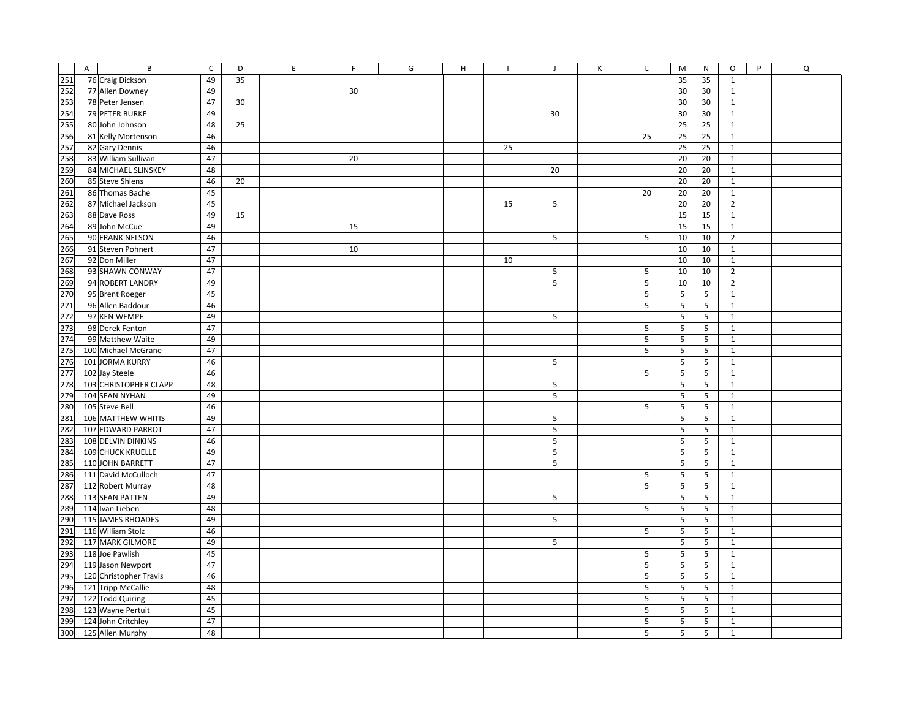| 251        | A | B                                   | $\mathsf{C}$<br>49 | D<br>35 | E | F. | G | H |    | $\mathbf{J}$ | Κ | $\mathsf{L}$ | M<br>N<br>35        | $\circ$<br>P<br>$1\,$       | $\mathsf Q$ |
|------------|---|-------------------------------------|--------------------|---------|---|----|---|---|----|--------------|---|--------------|---------------------|-----------------------------|-------------|
| 252        |   | 76 Craig Dickson<br>77 Allen Downey | 49                 |         |   |    |   |   |    |              |   |              | 35<br>30            |                             |             |
| 253        |   |                                     | 47                 |         |   | 30 |   |   |    |              |   |              | 30<br>30            | $\mathbf{1}$<br>$\mathbf 1$ |             |
|            |   | 78 Peter Jensen<br>79 PETER BURKE   | 49                 | 30      |   |    |   |   |    |              |   |              | 30                  |                             |             |
| 254<br>255 |   |                                     |                    |         |   |    |   |   |    | 30           |   |              | 30<br>30            | $\mathbf{1}$                |             |
|            |   | 80 John Johnson                     | 48                 | 25      |   |    |   |   |    |              |   |              | 25<br>25            | $1\,$                       |             |
| 256        |   | 81 Kelly Mortenson                  | 46                 |         |   |    |   |   |    |              |   | 25           | 25<br>25            | $\mathbf{1}$                |             |
| 257        |   | 82 Gary Dennis                      | 46                 |         |   |    |   |   | 25 |              |   |              | 25<br>25            | $1\,$                       |             |
| 258        |   | 83 William Sullivan                 | 47                 |         |   | 20 |   |   |    |              |   |              | 20<br>20            | $\mathbf{1}$                |             |
| 259        |   | 84 MICHAEL SLINSKEY                 | 48                 |         |   |    |   |   |    | 20           |   |              | 20<br>20            | $1\,$                       |             |
| 260        |   | 85 Steve Shlens                     | 46                 | 20      |   |    |   |   |    |              |   |              | 20<br>20            | $\mathbf{1}$                |             |
| 261        |   | 86 Thomas Bache                     | 45                 |         |   |    |   |   |    |              |   | 20           | 20<br>20            | $\mathbf{1}$                |             |
| 262        |   | 87 Michael Jackson                  | 45                 |         |   |    |   |   | 15 | 5            |   |              | 20<br>20            | $\overline{2}$              |             |
| 263        |   | 88 Dave Ross                        | 49                 | 15      |   |    |   |   |    |              |   |              | 15<br>15            | $1\,$                       |             |
| 264        |   | 89 John McCue                       | 49                 |         |   | 15 |   |   |    |              |   |              | 15<br>15            | $\mathbf{1}$                |             |
| 265        |   | 90 FRANK NELSON                     | 46                 |         |   |    |   |   |    | 5            |   | 5            | 10<br>10            | $\overline{2}$              |             |
| 266        |   | 91 Steven Pohnert                   | 47                 |         |   | 10 |   |   |    |              |   |              | 10<br>10            | $\mathbf 1$                 |             |
| 267        |   | 92 Don Miller                       | 47                 |         |   |    |   |   | 10 |              |   |              | 10<br>10            | $\,1\,$                     |             |
| 268        |   | 93 SHAWN CONWAY                     | 47                 |         |   |    |   |   |    | 5            |   | 5            | 10<br>10            | $\mathbf 2$                 |             |
| 269        |   | 94 ROBERT LANDRY                    | 49                 |         |   |    |   |   |    | 5            |   | 5            | 10<br>10            | $\mathbf 2$                 |             |
| 270        |   | 95 Brent Roeger                     | 45                 |         |   |    |   |   |    |              |   | 5            | 5<br>5              | $\mathbf{1}$                |             |
| 271        |   | 96 Allen Baddour                    | 46                 |         |   |    |   |   |    |              |   | 5            | 5<br>5              | $\mathbf{1}$                |             |
| 272        |   | 97 KEN WEMPE                        | 49                 |         |   |    |   |   |    | 5            |   |              | 5<br>5              | $\mathbf{1}$                |             |
| 273        |   | 98 Derek Fenton                     | 47                 |         |   |    |   |   |    |              |   | 5            | 5<br>5              | $1\,$                       |             |
| 274        |   | 99 Matthew Waite                    | 49                 |         |   |    |   |   |    |              |   | 5            | 5<br>5              | $\mathbf{1}$                |             |
| 275        |   | 100 Michael McGrane                 | 47                 |         |   |    |   |   |    |              |   | 5            | 5<br>5              | $\mathbf{1}$                |             |
| 276        |   | 101 JORMA KURRY                     | 46                 |         |   |    |   |   |    | 5            |   |              | 5<br>5              | $1\,$                       |             |
| 277        |   | 102 Jay Steele                      | 46                 |         |   |    |   |   |    |              |   | 5            | 5<br>5              | $\,1\,$                     |             |
| 278        |   | 103 CHRISTOPHER CLAPP               | 48                 |         |   |    |   |   |    | 5            |   |              | 5<br>5              | $1\,$                       |             |
| 279        |   | 104 SEAN NYHAN                      | 49                 |         |   |    |   |   |    | 5            |   |              | 5<br>5              | $1\,$                       |             |
| 280        |   | 105 Steve Bell                      | 46                 |         |   |    |   |   |    |              |   | 5            | 5<br>5              | $1\,$                       |             |
| 281        |   | 106 MATTHEW WHITIS                  | 49                 |         |   |    |   |   |    | 5            |   |              | 5<br>5              | $\mathbf{1}$                |             |
| 282        |   | 107 EDWARD PARROT                   | 47                 |         |   |    |   |   |    | 5            |   |              | 5<br>5              | $1\,$                       |             |
| 283        |   | 108 DELVIN DINKINS                  | 46                 |         |   |    |   |   |    | 5            |   |              | 5<br>5              | $\mathbf{1}$                |             |
| 284        |   | 109 CHUCK KRUELLE                   | 49                 |         |   |    |   |   |    | 5            |   |              | 5<br>5              | $1\,$                       |             |
| 285        |   | 110 JOHN BARRETT                    | 47                 |         |   |    |   |   |    | 5            |   |              | 5<br>5              | $\mathbf{1}$                |             |
| 286        |   | 111 David McCulloch                 | 47                 |         |   |    |   |   |    |              |   | 5            | 5<br>5              | $1\,$                       |             |
| 287        |   | 112 Robert Murray                   | 48                 |         |   |    |   |   |    |              |   | 5            | $\overline{5}$<br>5 | $\mathbf{1}$                |             |
| 288        |   |                                     |                    |         |   |    |   |   |    |              |   |              |                     |                             |             |
| 289        |   | 113 SEAN PATTEN                     | 49                 |         |   |    |   |   |    | 5            |   |              | 5<br>5              | $\mathbf{1}$                |             |
| 290        |   | 114 Ivan Lieben                     | 48                 |         |   |    |   |   |    |              |   | 5            | 5<br>5              | $\mathbf{1}$                |             |
|            |   | 115 JAMES RHOADES                   | 49                 |         |   |    |   |   |    | 5            |   |              | 5<br>5              | $1\,$                       |             |
| 291        |   | 116 William Stolz                   | 46                 |         |   |    |   |   |    |              |   | 5            | 5<br>5              | $\,1\,$                     |             |
| 292        |   | 117 MARK GILMORE                    | 49                 |         |   |    |   |   |    | 5            |   |              | 5<br>5              | $1\,$                       |             |
| 293        |   | 118 Joe Pawlish                     | 45                 |         |   |    |   |   |    |              |   | 5            | 5<br>5              | $\mathbf{1}$                |             |
| 294        |   | 119 Jason Newport                   | 47                 |         |   |    |   |   |    |              |   | 5            | 5<br>5              | $\,1\,$                     |             |
| 295        |   | 120 Christopher Travis              | 46                 |         |   |    |   |   |    |              |   | 5            | 5<br>5              | $\mathbf{1}$                |             |
| 296        |   | 121 Tripp McCallie                  | 48                 |         |   |    |   |   |    |              |   | 5            | 5<br>5              | $1\,$                       |             |
| 297        |   | 122 Todd Quiring                    | 45                 |         |   |    |   |   |    |              |   | 5            | 5<br>5              | $\mathbf{1}$                |             |
| 298        |   | 123 Wayne Pertuit                   | 45                 |         |   |    |   |   |    |              |   | 5            | 5<br>5              | $\mathbf{1}$                |             |
| 299        |   | 124 John Critchley                  | 47                 |         |   |    |   |   |    |              |   | 5            | 5<br>5              | $\mathbf{1}$                |             |
| 300        |   | 125 Allen Murphy                    | 48                 |         |   |    |   |   |    |              |   | 5            | 5<br>5              | $1\,$                       |             |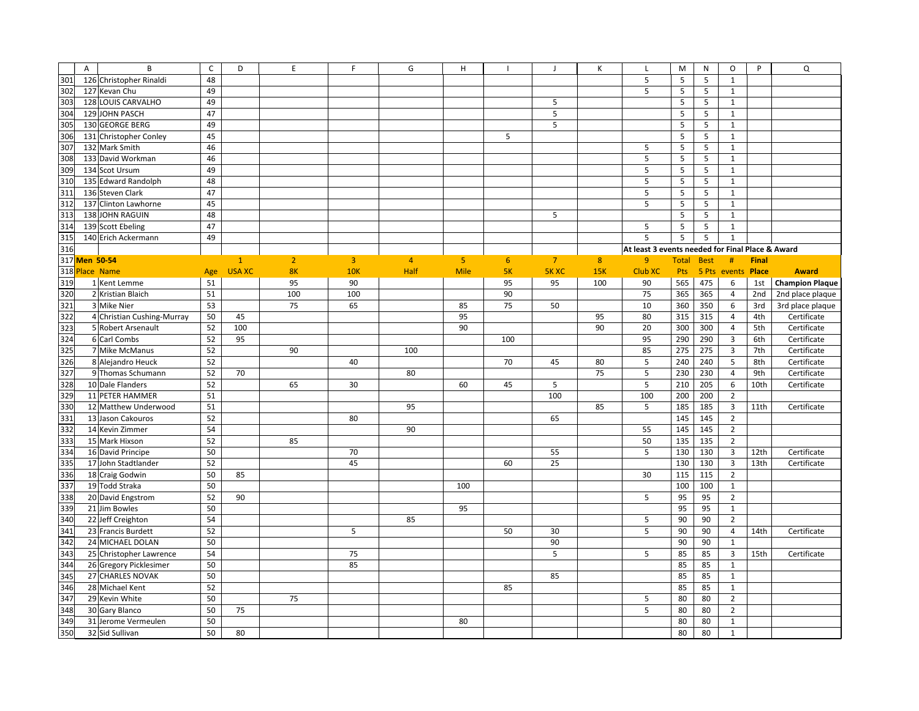|     | $\overline{A}$<br>B                        | $\mathsf{C}$ | D             | E              | F.             | G              | H              |                | $\mathbf{J}$   | К   | L                                                | M            | N           | O                       | P            | Q                      |
|-----|--------------------------------------------|--------------|---------------|----------------|----------------|----------------|----------------|----------------|----------------|-----|--------------------------------------------------|--------------|-------------|-------------------------|--------------|------------------------|
| 301 | 126 Christopher Rinaldi                    | 48           |               |                |                |                |                |                |                |     | 5                                                | 5            | 5           | $\mathbf{1}$            |              |                        |
| 302 | 127 Kevan Chu                              | 49           |               |                |                |                |                |                |                |     | 5                                                | 5            | 5           | $\mathbf{1}$            |              |                        |
| 303 | 128 LOUIS CARVALHO                         | 49           |               |                |                |                |                |                | 5              |     |                                                  | 5            | 5           | $\mathbf{1}$            |              |                        |
| 304 | 129 JOHN PASCH                             | 47           |               |                |                |                |                |                | 5              |     |                                                  | 5            | 5           | $\mathbf{1}$            |              |                        |
| 305 | 130 GEORGE BERG                            | 49           |               |                |                |                |                |                | 5              |     |                                                  | 5            | 5           | $\mathbf{1}$            |              |                        |
| 306 | 131 Christopher Conley                     | 45           |               |                |                |                |                | 5              |                |     |                                                  | 5            | 5           | $\mathbf{1}$            |              |                        |
| 307 | 132 Mark Smith                             | 46           |               |                |                |                |                |                |                |     | 5                                                | 5            | 5           | $\mathbf{1}$            |              |                        |
| 308 | 133 David Workman                          | 46           |               |                |                |                |                |                |                |     | $\sf 5$                                          | 5            | 5           | $\mathbf{1}$            |              |                        |
| 309 | 134 Scot Ursum                             | 49           |               |                |                |                |                |                |                |     | 5                                                | 5            | 5           | $\mathbf{1}$            |              |                        |
| 310 | 135 Edward Randolph                        | 48           |               |                |                |                |                |                |                |     | 5                                                | 5            | 5           | $\mathbf{1}$            |              |                        |
| 311 | 136 Steven Clark                           | 47           |               |                |                |                |                |                |                |     | 5                                                | 5            | 5           | $\mathbf{1}$            |              |                        |
| 312 | 137 Clinton Lawhorne                       | 45           |               |                |                |                |                |                |                |     | 5                                                | 5            | 5           | $\mathbf{1}$            |              |                        |
| 313 | 138 JOHN RAGUIN                            | 48           |               |                |                |                |                |                | 5              |     |                                                  | 5            | 5           | $\mathbf{1}$            |              |                        |
| 314 | 139 Scott Ebeling                          | 47           |               |                |                |                |                |                |                |     | 5                                                | 5            | 5           | $\mathbf{1}$            |              |                        |
| 315 | 140 Erich Ackermann                        | 49           |               |                |                |                |                |                |                |     | 5                                                | 5            | 5           | $\mathbf{1}$            |              |                        |
| 316 |                                            |              |               |                |                |                |                |                |                |     | At least 3 events needed for Final Place & Award |              |             |                         |              |                        |
|     | 317 Men 50-54                              |              | $\mathbf{1}$  | $\overline{2}$ | $\overline{3}$ | $\overline{4}$ | 5 <sup>°</sup> | 6 <sup>1</sup> | $\overline{7}$ | 8   | 9 <sup>°</sup>                                   | <b>Total</b> | <b>Best</b> | #                       | <b>Final</b> |                        |
|     | 318 Place Name                             | Age          | <b>USA XC</b> | <b>8K</b>      | 10K            | Half           | <b>Mile</b>    | 5K             | <b>5KXC</b>    | 15K | <b>Club XC</b>                                   | Pts          | 5 Pts       | events                  | Place        | <b>Award</b>           |
| 319 | 1 Kent Lemme                               | 51           |               | 95             | 90             |                |                | 95             | 95             | 100 | 90                                               | 565          | 475         | 6                       | 1st          | <b>Champion Plaque</b> |
| 320 | 2 Kristian Blaich                          | 51           |               | 100            | 100            |                |                | 90             |                |     | 75                                               | 365          | 365         | $\overline{4}$          | 2nd          | 2nd place plaque       |
| 321 | 3 Mike Nier                                | 53           |               | 75             | 65             |                | 85             | 75             | 50             |     | 10                                               | 360          | 350         | 6                       | 3rd          | 3rd place plaque       |
| 322 | 4 Christian Cushing-Murray                 | 50           | 45            |                |                |                | 95             |                |                | 95  | 80                                               | 315          | 315         | $\overline{4}$          | 4th          | Certificate            |
| 323 | 5 Robert Arsenault                         | 52           | 100           |                |                |                | 90             |                |                | 90  | 20                                               | 300          | 300         | $\overline{4}$          | 5th          | Certificate            |
| 324 | 6 Carl Combs                               | 52           | 95            |                |                |                |                | 100            |                |     | 95                                               | 290          | 290         | $\overline{\mathbf{3}}$ | 6th          | Certificate            |
| 325 | 7 Mike McManus                             | 52           |               | 90             |                | 100            |                |                |                |     | 85                                               | 275          | 275         | $\overline{3}$          | 7th          | Certificate            |
| 326 | 8 Alejandro Heuck                          | 52           |               |                | 40             |                |                | 70             | 45             | 80  | 5                                                | 240          | 240         | 5                       | 8th          | Certificate            |
| 327 | 9 Thomas Schumann                          | 52           | 70            |                |                | 80             |                |                |                | 75  | 5                                                | 230          | 230         | $\overline{4}$          | 9th          | Certificate            |
| 328 | 10 Dale Flanders                           | 52           |               | 65             | 30             |                | 60             | 45             | 5              |     | 5                                                | 210          | 205         | 6                       | 10th         | Certificate            |
| 329 | 11 PETER HAMMER                            | 51           |               |                |                |                |                |                | 100            |     | 100                                              | 200          | 200         | $\overline{2}$          |              |                        |
| 330 | 12 Matthew Underwood                       | 51           |               |                |                | 95             |                |                |                | 85  | 5                                                | 185          | 185         | $\overline{3}$          | 11th         | Certificate            |
| 331 | 13 Jason Cakouros                          | 52           |               |                | 80             |                |                |                | 65             |     |                                                  | 145          | 145         | $\overline{2}$          |              |                        |
| 332 | 14 Kevin Zimmer                            | 54           |               |                |                | 90             |                |                |                |     | 55                                               | 145          | 145         | $\overline{2}$          |              |                        |
| 333 | 15 Mark Hixson                             | 52           |               | 85             |                |                |                |                |                |     | 50                                               | 135          | 135         | $\overline{2}$          |              |                        |
| 334 | 16 David Principe                          | 50           |               |                | 70             |                |                |                | 55             |     | 5                                                | 130          | 130         | $\overline{3}$          | 12th         | Certificate            |
| 335 | 17 John Stadtlander                        | 52           |               |                | 45             |                |                | 60             | 25             |     |                                                  | 130          | 130         | $\overline{\mathbf{3}}$ | 13th         | Certificate            |
| 336 | 18 Craig Godwin                            | 50           | 85            |                |                |                |                |                |                |     | 30                                               | 115          | 115         | $\overline{2}$          |              |                        |
| 337 | 19 Todd Straka                             | 50           |               |                |                |                | 100            |                |                |     |                                                  | 100          | 100         | $\mathbf{1}$            |              |                        |
| 338 | 20 David Engstrom                          | 52           | 90            |                |                |                |                |                |                |     | 5                                                | 95           | 95          | $\overline{2}$          |              |                        |
| 339 | 21 Jim Bowles                              | 50           |               |                |                |                | 95             |                |                |     |                                                  | 95           | 95          | $\mathbf{1}$            |              |                        |
| 340 | 22 Jeff Creighton                          | 54           |               |                |                | 85             |                |                |                |     | 5                                                | 90           | 90          | $\mathbf 2$             |              |                        |
| 341 | 23 Francis Burdett                         | 52           |               |                | 5              |                |                | 50             | 30             |     | 5                                                | 90           | 90          | $\overline{4}$          | 14th         | Certificate            |
| 342 | 24 MICHAEL DOLAN                           | 50           |               |                |                |                |                |                | 90             |     |                                                  | 90           | 90          | $\mathbf{1}$            |              |                        |
| 343 |                                            | 54           |               |                | 75             |                |                |                | 5              |     | 5                                                | 85           | 85          | $\overline{3}$          | 15th         |                        |
| 344 | 25 Christopher Lawrence                    |              |               |                |                |                |                |                |                |     |                                                  |              |             |                         |              | Certificate            |
| 345 | 26 Gregory Picklesimer<br>27 CHARLES NOVAK | 50           |               |                | 85             |                |                |                |                |     |                                                  | 85           | 85          | $\mathbf{1}$            |              |                        |
|     |                                            | 50           |               |                |                |                |                |                | 85             |     |                                                  | 85           | 85          | $\mathbf{1}$            |              |                        |
| 346 | 28 Michael Kent                            | 52           |               |                |                |                |                | 85             |                |     |                                                  | 85           | 85          | $\mathbf{1}$            |              |                        |
| 347 | 29 Kevin White                             | 50           |               | 75             |                |                |                |                |                |     | 5                                                | 80           | 80          | $\overline{2}$          |              |                        |
| 348 | 30 Gary Blanco                             | 50           | 75            |                |                |                |                |                |                |     | 5                                                | 80           | 80          | $\overline{2}$          |              |                        |
| 349 | 31 Jerome Vermeulen                        | 50           |               |                |                |                | 80             |                |                |     |                                                  | 80           | 80          | $\mathbf{1}$            |              |                        |
| 350 | 32 Sid Sullivan                            | 50           | 80            |                |                |                |                |                |                |     |                                                  | 80           | 80          | $\mathbf{1}$            |              |                        |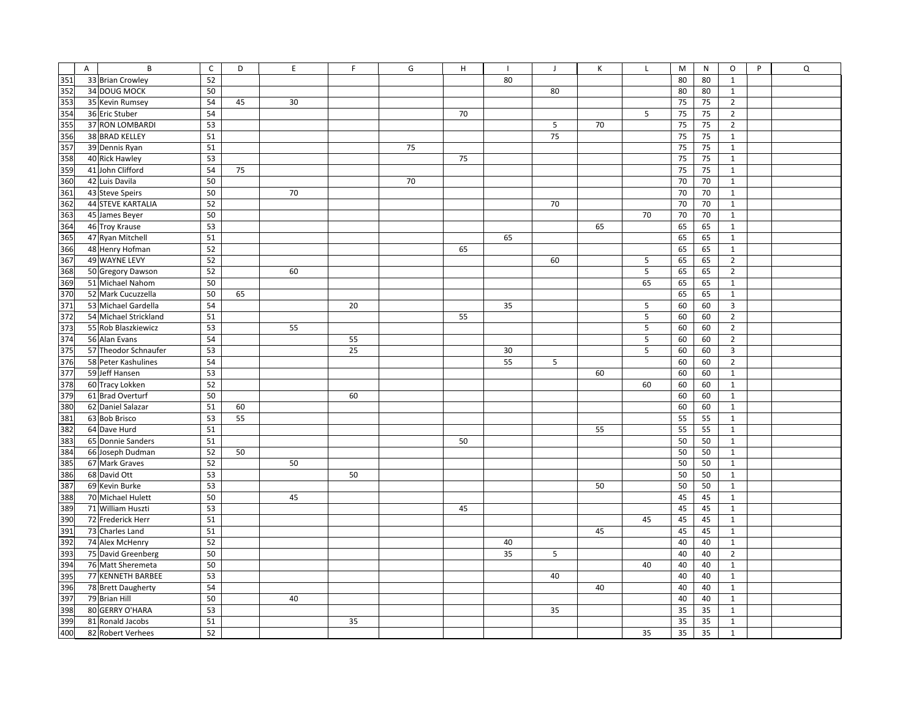|     | $\overline{A}$ | $\sf B$                  | $\mathsf{C}$ | D  |    | $\mathsf E$ | F. | G  | H  |    | J  | Κ  | L  | M  | N  | 0                       | P | Q |
|-----|----------------|--------------------------|--------------|----|----|-------------|----|----|----|----|----|----|----|----|----|-------------------------|---|---|
| 351 |                | 33 Brian Crowley         | 52           |    |    |             |    |    |    | 80 |    |    |    | 80 | 80 | $\mathbf{1}$            |   |   |
| 352 |                | 34 DOUG MOCK             | 50           |    |    |             |    |    |    |    | 80 |    |    | 80 | 80 | $\mathbf{1}$            |   |   |
| 353 |                | 35 Kevin Rumsey          | 54           | 45 | 30 |             |    |    |    |    |    |    |    | 75 | 75 | $\overline{2}$          |   |   |
| 354 |                | 36 Eric Stuber           | 54           |    |    |             |    |    | 70 |    |    |    | 5  | 75 | 75 | $\overline{2}$          |   |   |
| 355 |                | 37 RON LOMBARDI          | 53           |    |    |             |    |    |    |    | 5  | 70 |    | 75 | 75 | $\overline{2}$          |   |   |
| 356 |                | 38 BRAD KELLEY           | 51           |    |    |             |    |    |    |    | 75 |    |    | 75 | 75 | 1                       |   |   |
| 357 |                | 39 Dennis Ryan           | 51           |    |    |             |    | 75 |    |    |    |    |    | 75 | 75 | $\mathbf{1}$            |   |   |
| 358 |                | 40 Rick Hawley           | 53           |    |    |             |    |    | 75 |    |    |    |    | 75 | 75 | $\mathbf{1}$            |   |   |
| 359 |                | 41 John Clifford         | 54           | 75 |    |             |    |    |    |    |    |    |    | 75 | 75 | $\mathbf{1}$            |   |   |
| 360 |                | 42 Luis Davila           | 50           |    |    |             |    | 70 |    |    |    |    |    | 70 | 70 | $\mathbf{1}$            |   |   |
| 361 |                | 43 Steve Speirs          | 50           |    | 70 |             |    |    |    |    |    |    |    | 70 | 70 | $\mathbf{1}$            |   |   |
| 362 |                | <b>44 STEVE KARTALIA</b> | 52           |    |    |             |    |    |    |    | 70 |    |    | 70 | 70 | $\mathbf{1}$            |   |   |
| 363 |                | 45 James Beyer           | 50           |    |    |             |    |    |    |    |    |    | 70 | 70 | 70 | $\mathbf{1}$            |   |   |
| 364 |                | 46 Troy Krause           | 53           |    |    |             |    |    |    |    |    | 65 |    | 65 | 65 | $\mathbf{1}$            |   |   |
| 365 |                | 47 Ryan Mitchell         | 51           |    |    |             |    |    |    | 65 |    |    |    | 65 | 65 | $\mathbf{1}$            |   |   |
| 366 |                | 48 Henry Hofman          | 52           |    |    |             |    |    | 65 |    |    |    |    | 65 | 65 | $\mathbf{1}$            |   |   |
| 367 |                | 49 WAYNE LEVY            | 52           |    |    |             |    |    |    |    | 60 |    | 5  | 65 | 65 | $\overline{2}$          |   |   |
| 368 |                | 50 Gregory Dawson        | 52           |    | 60 |             |    |    |    |    |    |    | 5  | 65 | 65 | $\overline{2}$          |   |   |
| 369 |                | 51 Michael Nahom         | 50           |    |    |             |    |    |    |    |    |    | 65 | 65 | 65 | $\mathbf{1}$            |   |   |
| 370 |                | 52 Mark Cucuzzella       | 50           | 65 |    |             |    |    |    |    |    |    |    | 65 | 65 | 1                       |   |   |
| 371 |                | 53 Michael Gardella      | 54           |    |    |             | 20 |    |    | 35 |    |    | 5  | 60 | 60 | $\overline{\mathbf{3}}$ |   |   |
| 372 |                | 54 Michael Strickland    | 51           |    |    |             |    |    | 55 |    |    |    | 5  | 60 | 60 | $\overline{2}$          |   |   |
| 373 |                | 55 Rob Blaszkiewicz      | 53           |    | 55 |             |    |    |    |    |    |    | 5  | 60 | 60 | $\overline{2}$          |   |   |
| 374 |                | 56 Alan Evans            | 54           |    |    |             | 55 |    |    |    |    |    | 5  | 60 | 60 | $\overline{2}$          |   |   |
| 375 |                | 57 Theodor Schnaufer     | 53           |    |    |             | 25 |    |    | 30 |    |    | 5  | 60 | 60 | 3                       |   |   |
| 376 |                | 58 Peter Kashulines      | 54           |    |    |             |    |    |    | 55 | 5  |    |    | 60 | 60 | $\overline{2}$          |   |   |
| 377 |                | 59 Jeff Hansen           | 53           |    |    |             |    |    |    |    |    | 60 |    | 60 | 60 | $\mathbf{1}$            |   |   |
| 378 |                | 60 Tracy Lokken          | 52           |    |    |             |    |    |    |    |    |    | 60 | 60 | 60 | $\mathbf{1}$            |   |   |
| 379 |                | 61 Brad Overturf         | 50           |    |    |             | 60 |    |    |    |    |    |    | 60 | 60 | $\mathbf{1}$            |   |   |
| 380 |                | 62 Daniel Salazar        | 51           | 60 |    |             |    |    |    |    |    |    |    | 60 | 60 | $\mathbf{1}$            |   |   |
| 381 |                | 63 Bob Brisco            | 53           | 55 |    |             |    |    |    |    |    |    |    | 55 | 55 | $\mathbf{1}$            |   |   |
| 382 |                | 64 Dave Hurd             | 51           |    |    |             |    |    |    |    |    | 55 |    | 55 | 55 | $\mathbf{1}$            |   |   |
| 383 |                | 65 Donnie Sanders        | 51           |    |    |             |    |    | 50 |    |    |    |    | 50 | 50 | $\mathbf{1}$            |   |   |
| 384 |                | 66 Joseph Dudman         | 52           | 50 |    |             |    |    |    |    |    |    |    | 50 | 50 | $\mathbf{1}$            |   |   |
| 385 |                | 67 Mark Graves           | 52           |    | 50 |             |    |    |    |    |    |    |    | 50 | 50 | $\mathbf{1}$            |   |   |
| 386 |                | 68 David Ott             | 53           |    |    |             | 50 |    |    |    |    |    |    | 50 | 50 | $\mathbf{1}$            |   |   |
| 387 |                | 69 Kevin Burke           | 53           |    |    |             |    |    |    |    |    | 50 |    | 50 | 50 | $\mathbf{1}$            |   |   |
| 388 |                | 70 Michael Hulett        | 50           |    | 45 |             |    |    |    |    |    |    |    | 45 | 45 | $\mathbf{1}$            |   |   |
| 389 |                | 71 William Huszti        | 53           |    |    |             |    |    | 45 |    |    |    |    | 45 | 45 | $\mathbf{1}$            |   |   |
| 390 |                | 72 Frederick Herr        | 51           |    |    |             |    |    |    |    |    |    | 45 | 45 | 45 | $\mathbf{1}$            |   |   |
| 391 |                | 73 Charles Land          | 51           |    |    |             |    |    |    |    |    | 45 |    | 45 | 45 | $\mathbf{1}$            |   |   |
| 392 |                | 74 Alex McHenry          | 52           |    |    |             |    |    |    | 40 |    |    |    | 40 | 40 | $\mathbf{1}$            |   |   |
| 393 |                | 75 David Greenberg       | 50           |    |    |             |    |    |    | 35 | 5  |    |    | 40 | 40 | $\overline{2}$          |   |   |
| 394 |                | 76 Matt Sheremeta        | 50           |    |    |             |    |    |    |    |    |    | 40 | 40 | 40 | $\mathbf{1}$            |   |   |
| 395 |                | 77 KENNETH BARBEE        | 53           |    |    |             |    |    |    |    | 40 |    |    | 40 | 40 | $\mathbf{1}$            |   |   |
| 396 |                | 78 Brett Daugherty       | 54           |    |    |             |    |    |    |    |    | 40 |    | 40 | 40 | $\mathbf{1}$            |   |   |
| 397 |                | 79 Brian Hill            | 50           |    | 40 |             |    |    |    |    |    |    |    | 40 | 40 | $\mathbf{1}$            |   |   |
| 398 |                | 80 GERRY O'HARA          | 53           |    |    |             |    |    |    |    | 35 |    |    | 35 | 35 | $\mathbf{1}$            |   |   |
| 399 |                | 81 Ronald Jacobs         | 51           |    |    |             | 35 |    |    |    |    |    |    | 35 | 35 | $\mathbf{1}$            |   |   |
| 400 |                | 82 Robert Verhees        | 52           |    |    |             |    |    |    |    |    |    | 35 | 35 | 35 | $\mathbf{1}$            |   |   |
|     |                |                          |              |    |    |             |    |    |    |    |    |    |    |    |    |                         |   |   |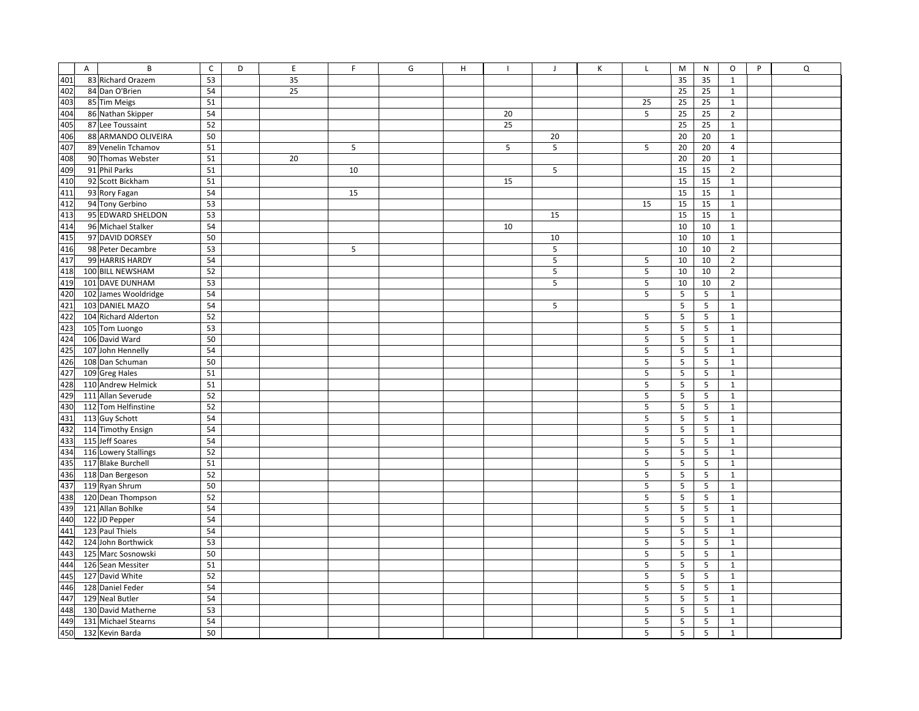|            | $\mathsf{A}$ | $\, {\bf B}$         | $\mathsf C$ | D | E  | F  | G | H |    | $\mathbf{J}$ | К | $\mathsf{L}$ | M               | N              | $\circ$        | P | Q |
|------------|--------------|----------------------|-------------|---|----|----|---|---|----|--------------|---|--------------|-----------------|----------------|----------------|---|---|
| 401        |              | 83 Richard Orazem    | 53          |   | 35 |    |   |   |    |              |   |              | 35              | 35             | $\mathbf{1}$   |   |   |
| 402        |              | 84 Dan O'Brien       | 54          |   | 25 |    |   |   |    |              |   |              | 25              | 25             | $\mathbf{1}$   |   |   |
| 403<br>404 |              | 85 Tim Meigs         | 51          |   |    |    |   |   |    |              |   | 25<br>5      | 25              | 25             | $\mathbf 1$    |   |   |
|            |              | 86 Nathan Skipper    | 54          |   |    |    |   |   | 20 |              |   |              | 25              | 25             | $\overline{2}$ |   |   |
| 405        |              | 87 Lee Toussaint     | 52          |   |    |    |   |   | 25 |              |   |              | 25              | 25             | $\mathbf 1$    |   |   |
| 406        |              | 88 ARMANDO OLIVEIRA  | 50          |   |    |    |   |   |    | 20           |   |              | 20              | 20             | $\mathbf{1}$   |   |   |
| 407        |              | 89 Venelin Tchamov   | 51          |   |    | 5  |   |   | 5  | 5            |   | 5            | 20              | 20             | $\overline{a}$ |   |   |
| 408        |              | 90 Thomas Webster    | 51          |   | 20 |    |   |   |    |              |   |              | 20              | 20             | $\mathbf{1}$   |   |   |
| 409        |              | 91 Phil Parks        | 51          |   |    | 10 |   |   |    | 5            |   |              | 15              | 15             | $\mathbf 2$    |   |   |
| 410        |              | 92 Scott Bickham     | 51          |   |    |    |   |   | 15 |              |   |              | 15              | 15             | $\mathbf 1$    |   |   |
| 411        |              | 93 Rory Fagan        | 54          |   |    | 15 |   |   |    |              |   |              | 15              | 15             | $\mathbf{1}$   |   |   |
| 412        |              | 94 Tony Gerbino      | 53          |   |    |    |   |   |    |              |   | 15           | 15              | 15             | $\mathbf{1}$   |   |   |
| 413        |              | 95 EDWARD SHELDON    | 53          |   |    |    |   |   |    | 15           |   |              | 15              | 15             | $\mathbf 1$    |   |   |
| 414        |              | 96 Michael Stalker   | 54          |   |    |    |   |   | 10 |              |   |              | 10              | 10             | $\mathbf{1}$   |   |   |
| 415        |              | 97 DAVID DORSEY      | 50          |   |    |    |   |   |    | 10           |   |              | 10              | 10             | $\mathbf 1$    |   |   |
| 416        |              | 98 Peter Decambre    | 53          |   |    | 5  |   |   |    | 5            |   |              | 10              | 10             | $\mathbf 2$    |   |   |
| 417        |              | 99 HARRIS HARDY      | 54          |   |    |    |   |   |    | 5            |   | 5            | 10              | 10             | $\overline{2}$ |   |   |
| 418        |              | 100 BILL NEWSHAM     | 52          |   |    |    |   |   |    | 5            |   | 5            | 10              | 10             | $\mathbf 2$    |   |   |
| 419        |              | 101 DAVE DUNHAM      | 53          |   |    |    |   |   |    | 5            |   | 5            | 10              | 10             | $\overline{2}$ |   |   |
| 420        |              | 102 James Wooldridge | 54          |   |    |    |   |   |    |              |   | 5            | 5               | 5              | $\mathbf{1}$   |   |   |
| 421        |              | 103 DANIEL MAZO      | 54          |   |    |    |   |   |    | 5            |   |              | 5               | 5              | $\mathbf{1}$   |   |   |
| 422        |              | 104 Richard Alderton | 52          |   |    |    |   |   |    |              |   | 5            | 5               | 5              | $\mathbf{1}$   |   |   |
| 423        |              | 105 Tom Luongo       | 53          |   |    |    |   |   |    |              |   | 5            | 5               | 5              | $\mathbf{1}$   |   |   |
| 424        |              | 106 David Ward       | 50          |   |    |    |   |   |    |              |   | 5            | 5               | 5              | $\mathbf{1}$   |   |   |
| 425        |              | 107 John Hennelly    | 54          |   |    |    |   |   |    |              |   | 5            | 5               | 5              | $\mathbf 1$    |   |   |
| 426        |              | 108 Dan Schuman      | 50          |   |    |    |   |   |    |              |   | 5            | 5               | 5              | $\mathbf 1$    |   |   |
| 427        |              | 109 Greg Hales       | 51          |   |    |    |   |   |    |              |   | 5            | 5               | 5              | $\mathbf 1$    |   |   |
| 428        |              | 110 Andrew Helmick   | 51          |   |    |    |   |   |    |              |   | 5            | 5               | 5              | $\mathbf 1$    |   |   |
| 429        |              | 111 Allan Severude   | 52          |   |    |    |   |   |    |              |   | 5            | 5               | 5              | $\mathbf{1}$   |   |   |
| 430        |              | 112 Tom Helfinstine  | 52          |   |    |    |   |   |    |              |   | 5            | 5               | 5              | $\mathbf 1$    |   |   |
| 431        |              | 113 Guy Schott       | 54          |   |    |    |   |   |    |              |   | 5            | 5               | 5              | $\mathbf{1}$   |   |   |
| 432        |              | 114 Timothy Ensign   | 54          |   |    |    |   |   |    |              |   | 5            | 5               | 5              | $\mathbf 1$    |   |   |
| 433        |              | 115 Jeff Soares      | 54          |   |    |    |   |   |    |              |   | 5            | 5               | 5              | $\mathbf{1}$   |   |   |
| 434        |              | 116 Lowery Stallings | 52          |   |    |    |   |   |    |              |   | 5            | 5               | 5              | $\mathbf 1$    |   |   |
| 435        |              | 117 Blake Burchell   | 51          |   |    |    |   |   |    |              |   | 5            | 5               | 5              | $\mathbf{1}$   |   |   |
| 436        |              | 118 Dan Bergeson     | 52          |   |    |    |   |   |    |              |   | 5            | 5               | 5              | $\mathbf 1$    |   |   |
| 437        |              | 119 Ryan Shrum       | 50          |   |    |    |   |   |    |              |   | 5            | $5\phantom{.0}$ | 5              | $\mathbf{1}$   |   |   |
| 438        |              | 120 Dean Thompson    | 52          |   |    |    |   |   |    |              |   | 5            | 5               | 5              | $\mathbf{1}$   |   |   |
| 439        |              | 121 Allan Bohlke     | 54          |   |    |    |   |   |    |              |   | 5            | 5               | 5              | $\mathbf{1}$   |   |   |
| 440        |              | 122 JD Pepper        | 54          |   |    |    |   |   |    |              |   | 5            | 5               | 5              | $\mathbf 1$    |   |   |
| 441        |              | 123 Paul Thiels      | 54          |   |    |    |   |   |    |              |   | 5            | 5               | $\overline{5}$ | $\mathbf{1}$   |   |   |
| 442        |              | 124 John Borthwick   | 53          |   |    |    |   |   |    |              |   | 5            | 5               | $\sqrt{5}$     | $\mathbf{1}$   |   |   |
| 443        |              | 125 Marc Sosnowski   | 50          |   |    |    |   |   |    |              |   | 5            | 5               | 5              | $\mathbf{1}$   |   |   |
| 444        |              | 126 Sean Messiter    | 51          |   |    |    |   |   |    |              |   | 5            | 5               | 5              | $\mathbf 1$    |   |   |
| 445        |              | 127 David White      | 52          |   |    |    |   |   |    |              |   | 5            | 5               | 5              | $\mathbf{1}$   |   |   |
| 446        |              | 128 Daniel Feder     | 54          |   |    |    |   |   |    |              |   | 5            | 5               | 5              | $\mathbf{1}$   |   |   |
| 447        |              | 129 Neal Butler      | 54          |   |    |    |   |   |    |              |   | 5            | 5               | 5              | $\mathbf{1}$   |   |   |
| 448        |              | 130 David Matherne   | 53          |   |    |    |   |   |    |              |   | 5            | 5               | 5              | $\mathbf{1}$   |   |   |
| 449        |              | 131 Michael Stearns  | 54          |   |    |    |   |   |    |              |   | 5            | 5               | 5              | $\mathbf{1}$   |   |   |
| 450        |              | 132 Kevin Barda      | 50          |   |    |    |   |   |    |              |   | 5            | 5               | 5              | $\mathbf{1}$   |   |   |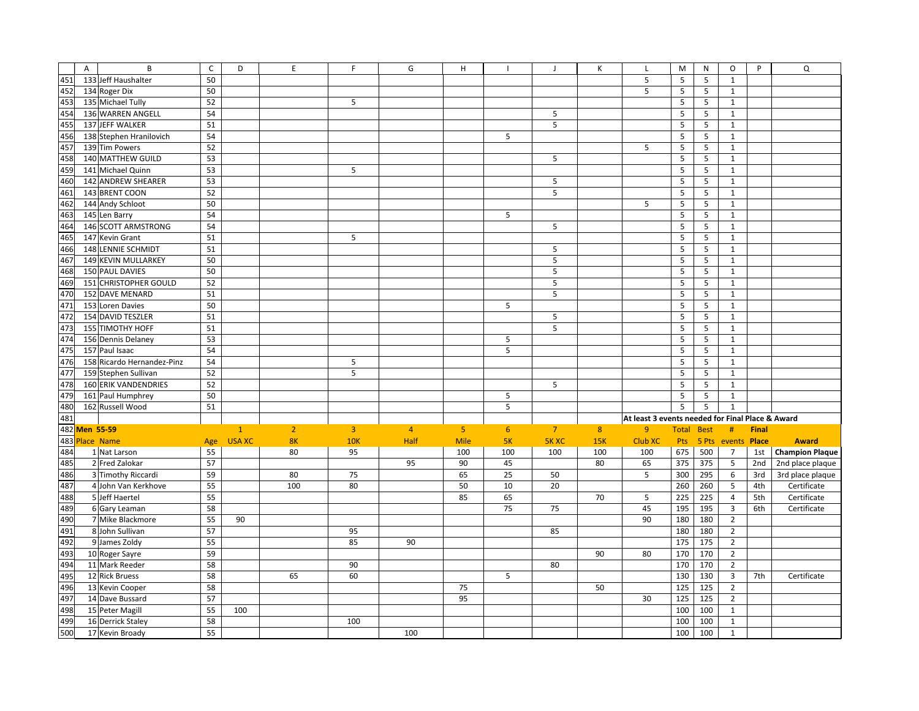| 451 | A                 | B<br>133 Jeff Haushalter           | $\mathsf{C}$<br>50 | D             | $\mathsf E$    | F.             | G              | Н              |                | $\mathbf{J}$ | Κ   | L<br>5                                           | M<br>5 | N           | O<br>$\mathbf{1}$            | P            | Q                      |
|-----|-------------------|------------------------------------|--------------------|---------------|----------------|----------------|----------------|----------------|----------------|--------------|-----|--------------------------------------------------|--------|-------------|------------------------------|--------------|------------------------|
| 452 |                   |                                    | 50                 |               |                |                |                |                |                |              |     | 5                                                | 5      | 5<br>5      |                              |              |                        |
| 453 |                   | 134 Roger Dix<br>135 Michael Tully | 52                 |               |                | 5              |                |                |                |              |     |                                                  | 5      | 5           | $\mathbf{1}$<br>$\mathbf{1}$ |              |                        |
| 454 |                   |                                    |                    |               |                |                |                |                |                |              |     |                                                  |        |             |                              |              |                        |
|     |                   | 136 WARREN ANGELL                  | 54                 |               |                |                |                |                |                | 5            |     |                                                  | 5      | 5           | $\mathbf{1}$                 |              |                        |
| 455 |                   | 137 JEFF WALKER                    | 51                 |               |                |                |                |                |                | 5            |     |                                                  | 5      | 5           | $\mathbf{1}$                 |              |                        |
| 456 |                   | 138 Stephen Hranilovich            | 54                 |               |                |                |                |                | 5              |              |     |                                                  | 5      | 5           | $\mathbf{1}$                 |              |                        |
| 457 |                   | 139 Tim Powers                     | 52                 |               |                |                |                |                |                |              |     | 5                                                | 5      | 5           | $\mathbf{1}$                 |              |                        |
| 458 |                   | 140 MATTHEW GUILD                  | 53                 |               |                |                |                |                |                | 5            |     |                                                  | 5      | 5           | $\mathbf{1}$                 |              |                        |
| 459 |                   | 141 Michael Quinn                  | 53                 |               |                | 5              |                |                |                |              |     |                                                  | 5      | 5           | $\mathbf{1}$                 |              |                        |
| 460 |                   | 142 ANDREW SHEARER                 | 53                 |               |                |                |                |                |                | 5            |     |                                                  | 5      | 5           | $\mathbf{1}$                 |              |                        |
| 461 |                   | 143 BRENT COON                     | 52                 |               |                |                |                |                |                | 5            |     |                                                  | 5      | 5           | $\mathbf{1}$                 |              |                        |
| 462 |                   | 144 Andy Schloot                   | 50                 |               |                |                |                |                |                |              |     | 5                                                | 5      | 5           | $\mathbf{1}$                 |              |                        |
| 463 |                   | 145 Len Barry                      | 54                 |               |                |                |                |                | 5              |              |     |                                                  | 5      | 5           | $\mathbf{1}$                 |              |                        |
| 464 |                   | 146 SCOTT ARMSTRONG                | 54                 |               |                |                |                |                |                | 5            |     |                                                  | 5      | 5           | $\mathbf{1}$                 |              |                        |
| 465 |                   | 147 Kevin Grant                    | 51                 |               |                | 5              |                |                |                |              |     |                                                  | 5      | 5           | $\mathbf{1}$                 |              |                        |
| 466 |                   | 148 LENNIE SCHMIDT                 | 51                 |               |                |                |                |                |                | 5            |     |                                                  | 5      | 5           | $\mathbf{1}$                 |              |                        |
| 467 |                   | 149 KEVIN MULLARKEY                | 50                 |               |                |                |                |                |                | 5            |     |                                                  | 5      | 5           | $\mathbf{1}$                 |              |                        |
| 468 |                   | 150 PAUL DAVIES                    | 50                 |               |                |                |                |                |                | 5            |     |                                                  | 5      | 5           | $\mathbf{1}$                 |              |                        |
| 469 |                   | 151 CHRISTOPHER GOULD              | 52                 |               |                |                |                |                |                | 5            |     |                                                  | 5      | 5           | 1                            |              |                        |
| 470 |                   | 152 DAVE MENARD                    | 51                 |               |                |                |                |                |                | 5            |     |                                                  | 5      | 5           | 1                            |              |                        |
| 471 |                   | 153 Loren Davies                   | 50                 |               |                |                |                |                | 5              |              |     |                                                  | 5      | 5           | $\mathbf{1}$                 |              |                        |
| 472 |                   | 154 DAVID TESZLER                  | 51                 |               |                |                |                |                |                | 5            |     |                                                  | 5      | 5           | 1                            |              |                        |
| 473 |                   | 155 TIMOTHY HOFF                   | 51                 |               |                |                |                |                |                | 5            |     |                                                  | 5      | 5           | $\mathbf{1}$                 |              |                        |
| 474 |                   | 156 Dennis Delaney                 | 53                 |               |                |                |                |                | 5              |              |     |                                                  | 5      | 5           | $\mathbf{1}$                 |              |                        |
| 475 |                   | 157 Paul Isaac                     | 54                 |               |                |                |                |                | 5              |              |     |                                                  | 5      | 5           | $\mathbf{1}$                 |              |                        |
| 476 |                   | 158 Ricardo Hernandez-Pinz         | 54                 |               |                | 5              |                |                |                |              |     |                                                  | 5      | 5           | $\mathbf{1}$                 |              |                        |
| 477 |                   | 159 Stephen Sullivan               | 52                 |               |                | 5              |                |                |                |              |     |                                                  | 5      | 5           | $\mathbf{1}$                 |              |                        |
| 478 |                   | 160 ERIK VANDENDRIES               | 52                 |               |                |                |                |                |                | 5            |     |                                                  | 5      | 5           | $\mathbf{1}$                 |              |                        |
| 479 |                   | 161 Paul Humphrey                  | 50                 |               |                |                |                |                | 5              |              |     |                                                  | 5      | 5           | $\mathbf{1}$                 |              |                        |
| 480 |                   | 162 Russell Wood                   | 51                 |               |                |                |                |                | 5              |              |     |                                                  | 5      | 5           | $\mathbf{1}$                 |              |                        |
| 481 |                   |                                    |                    |               |                |                |                |                |                |              |     | At least 3 events needed for Final Place & Award |        |             |                              |              |                        |
| 482 | <b>Men 55-59</b>  |                                    |                    | $\mathbf{1}$  | $\overline{2}$ | $\overline{3}$ | $\overline{4}$ | 5 <sub>o</sub> | 6 <sup>1</sup> | $7^{\circ}$  | 8   | 9                                                | Total  | <b>Best</b> | #                            | <b>Final</b> |                        |
| 483 | <b>Place Name</b> |                                    | Age                | <b>USA XC</b> | 8K             | 10K            | Half           | <b>Mile</b>    | 5K             | <b>5K XC</b> | 15K | <b>Club XC</b>                                   | Pts    |             | 5 Pts events Place           |              | <b>Award</b>           |
| 484 |                   | 1 Nat Larson                       | 55                 |               | 80             | 95             |                | 100            | 100            | 100          | 100 | 100                                              | 675    | 500         | $\overline{7}$               | 1st          | <b>Champion Plaque</b> |
| 485 |                   | 2 Fred Zalokar                     | 57                 |               |                |                | 95             | 90             | 45             |              | 80  | 65                                               | 375    | 375         | 5                            | 2nd          | 2nd place plaque       |
| 486 |                   | 3 Timothy Riccardi                 | 59                 |               | 80             | 75             |                | 65             | 25             | 50           |     | 5                                                | 300    | 295         | 6                            | 3rd          | 3rd place plaque       |
| 487 |                   | 4 John Van Kerkhove                | 55                 |               | 100            | 80             |                | 50             | 10             | 20           |     |                                                  | 260    | 260         | 5                            | 4th          | Certificate            |
| 488 |                   | 5 Jeff Haertel                     | 55                 |               |                |                |                | 85             | 65             |              | 70  | 5                                                | 225    | 225         | $\overline{4}$               | 5th          | Certificate            |
| 489 |                   | 6 Gary Leaman                      | 58                 |               |                |                |                |                | 75             | 75           |     | 45                                               | 195    | 195         | $\overline{\mathbf{3}}$      | 6th          | Certificate            |
| 490 |                   | 7 Mike Blackmore                   | 55                 | 90            |                |                |                |                |                |              |     | 90                                               | 180    | 180         | $\overline{2}$               |              |                        |
| 491 |                   | 8 John Sullivan                    | 57                 |               |                | 95             |                |                |                | 85           |     |                                                  | 180    | 180         | $\overline{2}$               |              |                        |
| 492 |                   | 9 James Zoldy                      | 55                 |               |                | 85             | 90             |                |                |              |     |                                                  | 175    | 175         | $\overline{2}$               |              |                        |
| 493 |                   |                                    | 59                 |               |                |                |                |                |                |              |     |                                                  | 170    |             |                              |              |                        |
| 494 |                   | 10 Roger Sayre                     |                    |               |                |                |                |                |                |              | 90  | 80                                               |        | 170         | $\overline{2}$               |              |                        |
|     |                   | 11 Mark Reeder                     | 58                 |               |                | 90             |                |                |                | 80           |     |                                                  | 170    | 170         | $\overline{2}$               |              |                        |
| 495 |                   | 12 Rick Bruess                     | 58                 |               | 65             | 60             |                |                | 5              |              |     |                                                  | 130    | 130         | $\overline{3}$               | 7th          | Certificate            |
| 496 |                   | 13 Kevin Cooper                    | 58                 |               |                |                |                | 75             |                |              | 50  |                                                  | 125    | 125         | $\overline{2}$               |              |                        |
| 497 |                   | 14 Dave Bussard                    | 57                 |               |                |                |                | 95             |                |              |     | 30                                               | 125    | 125         | $\overline{2}$               |              |                        |
| 498 |                   | 15 Peter Magill                    | 55                 | 100           |                |                |                |                |                |              |     |                                                  | 100    | 100         | $\mathbf{1}$                 |              |                        |
| 499 |                   | 16 Derrick Staley                  | 58                 |               |                | 100            |                |                |                |              |     |                                                  | 100    | 100         | $\mathbf{1}$                 |              |                        |
| 500 |                   | 17 Kevin Broady                    | 55                 |               |                |                | 100            |                |                |              |     |                                                  | 100    | 100         | $\mathbf 1$                  |              |                        |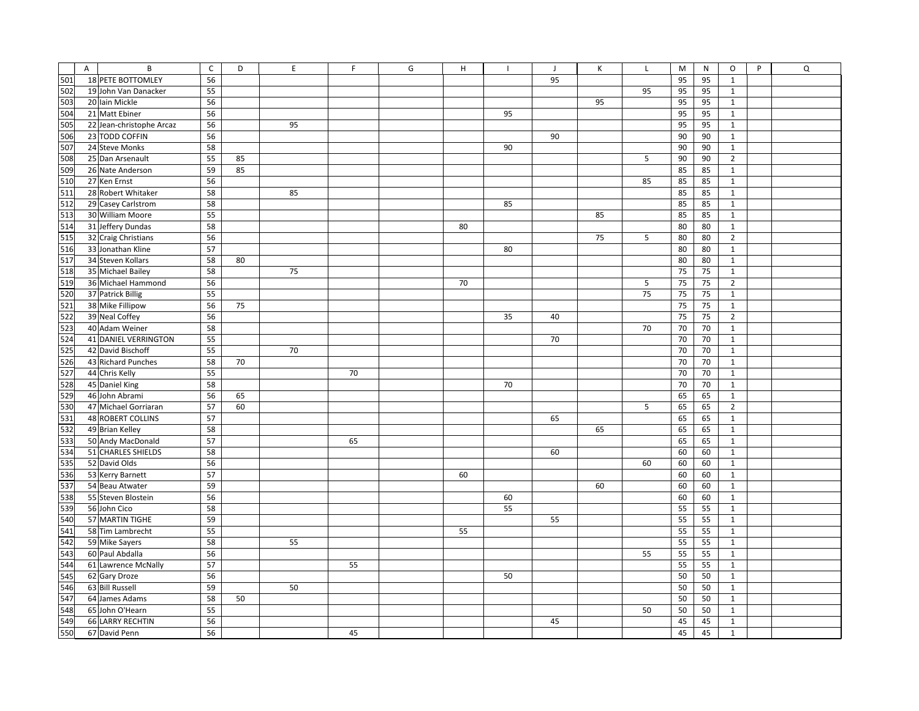|     | $\overline{A}$ | B                        | $\mathsf{C}$ | D  | $\mathsf E$ | F. | G | H  |    | J  | Κ  | Г  | M  | N  | $\mathsf O$<br>P | $\mathsf Q$ |
|-----|----------------|--------------------------|--------------|----|-------------|----|---|----|----|----|----|----|----|----|------------------|-------------|
| 501 |                | 18 PETE BOTTOMLEY        | 56           |    |             |    |   |    |    | 95 |    |    | 95 | 95 | $\mathbf{1}$     |             |
| 502 |                | 19 John Van Danacker     | 55           |    |             |    |   |    |    |    |    | 95 | 95 | 95 | $\mathbf{1}$     |             |
| 503 |                | 20 Iain Mickle           | 56           |    |             |    |   |    |    |    | 95 |    | 95 | 95 | $1\,$            |             |
| 504 |                | 21 Matt Ebiner           | 56           |    |             |    |   |    | 95 |    |    |    | 95 | 95 | $1\,$            |             |
| 505 |                | 22 Jean-christophe Arcaz | 56           |    | 95          |    |   |    |    |    |    |    | 95 | 95 | $1\,$            |             |
| 506 |                | 23 TODD COFFIN           | 56           |    |             |    |   |    |    | 90 |    |    | 90 | 90 | $\mathbf{1}$     |             |
| 507 |                | 24 Steve Monks           | 58           |    |             |    |   |    | 90 |    |    |    | 90 | 90 | $\mathbf{1}$     |             |
| 508 |                | 25 Dan Arsenault         | 55           | 85 |             |    |   |    |    |    |    | 5  | 90 | 90 | $\overline{2}$   |             |
| 509 |                | 26 Nate Anderson         | 59           | 85 |             |    |   |    |    |    |    |    | 85 | 85 | $1\,$            |             |
| 510 |                | 27 Ken Ernst             | 56           |    |             |    |   |    |    |    |    | 85 | 85 | 85 | $\mathbf{1}$     |             |
| 511 |                | 28 Robert Whitaker       | 58           |    | 85          |    |   |    |    |    |    |    | 85 | 85 | $1\,$            |             |
| 512 |                | 29 Casey Carlstrom       | 58           |    |             |    |   |    | 85 |    |    |    | 85 | 85 | $\mathbf 1$      |             |
| 513 |                | 30 William Moore         | 55           |    |             |    |   |    |    |    | 85 |    | 85 | 85 | $\,1\,$          |             |
| 514 |                | 31 Jeffery Dundas        | 58           |    |             |    |   | 80 |    |    |    |    | 80 | 80 | $\mathbf{1}$     |             |
| 515 |                | 32 Craig Christians      | 56           |    |             |    |   |    |    |    | 75 | 5  | 80 | 80 | $\mathbf 2$      |             |
| 516 |                | 33 Jonathan Kline        | 57           |    |             |    |   |    | 80 |    |    |    | 80 | 80 | $\mathbf{1}$     |             |
| 517 |                | 34 Steven Kollars        | 58           | 80 |             |    |   |    |    |    |    |    | 80 | 80 | $1\,$            |             |
| 518 |                | 35 Michael Bailey        | 58           |    | 75          |    |   |    |    |    |    |    | 75 | 75 | $\mathbf{1}$     |             |
| 519 |                | 36 Michael Hammond       | 56           |    |             |    |   | 70 |    |    |    | 5  | 75 | 75 | $\overline{2}$   |             |
| 520 |                | 37 Patrick Billig        | 55           |    |             |    |   |    |    |    |    | 75 | 75 | 75 | $\mathbf{1}$     |             |
| 521 |                | 38 Mike Fillipow         | 56           | 75 |             |    |   |    |    |    |    |    | 75 | 75 | $1\,$            |             |
| 522 |                | 39 Neal Coffey           | 56           |    |             |    |   |    | 35 | 40 |    |    | 75 | 75 | $\overline{2}$   |             |
| 523 |                | 40 Adam Weiner           | 58           |    |             |    |   |    |    |    |    | 70 | 70 | 70 | $\mathbf{1}$     |             |
| 524 |                | 41 DANIEL VERRINGTON     | 55           |    |             |    |   |    |    | 70 |    |    | 70 | 70 | $\mathbf{1}$     |             |
| 525 |                | 42 David Bischoff        | 55           |    | 70          |    |   |    |    |    |    |    | 70 | 70 | $1\,$            |             |
| 526 |                | 43 Richard Punches       | 58           | 70 |             |    |   |    |    |    |    |    | 70 | 70 | $1\,$            |             |
| 527 |                | 44 Chris Kelly           | 55           |    |             | 70 |   |    |    |    |    |    | 70 | 70 | $1\,$            |             |
| 528 |                | 45 Daniel King           | 58           |    |             |    |   |    | 70 |    |    |    | 70 | 70 | $1\,$            |             |
| 529 |                | 46 John Abrami           | 56           | 65 |             |    |   |    |    |    |    |    | 65 | 65 | $\,1\,$          |             |
| 530 |                | 47 Michael Gorriaran     | 57           | 60 |             |    |   |    |    |    |    | 5  | 65 | 65 | $\mathbf 2$      |             |
| 531 |                | 48 ROBERT COLLINS        | 57           |    |             |    |   |    |    | 65 |    |    | 65 | 65 | $\mathbf{1}$     |             |
| 532 |                | 49 Brian Kelley          | 58           |    |             |    |   |    |    |    | 65 |    | 65 | 65 | $1\,$            |             |
| 533 |                | 50 Andy MacDonald        | 57           |    |             | 65 |   |    |    |    |    |    | 65 | 65 | $\mathbf{1}$     |             |
| 534 |                | 51 CHARLES SHIELDS       | 58           |    |             |    |   |    |    | 60 |    |    | 60 | 60 | $\mathbf{1}$     |             |
| 535 |                | 52 David Olds            | 56           |    |             |    |   |    |    |    |    | 60 | 60 | 60 | $\mathbf{1}$     |             |
| 536 |                | 53 Kerry Barnett         | 57           |    |             |    |   | 60 |    |    |    |    | 60 | 60 | $\mathbf{1}$     |             |
| 537 |                | 54 Beau Atwater          | 59           |    |             |    |   |    |    |    | 60 |    | 60 | 60 | $\mathbf{1}$     |             |
| 538 |                | 55 Steven Blostein       | 56           |    |             |    |   |    | 60 |    |    |    | 60 | 60 | $1\,$            |             |
| 539 |                | 56 John Cico             | 58           |    |             |    |   |    | 55 |    |    |    | 55 | 55 | $\mathbf{1}$     |             |
| 540 |                | 57 MARTIN TIGHE          | 59           |    |             |    |   |    |    | 55 |    |    | 55 | 55 | $\,1\,$          |             |
| 541 |                | 58 Tim Lambrecht         | 55           |    |             |    |   | 55 |    |    |    |    | 55 | 55 | $\mathbf{1}$     |             |
| 542 |                | 59 Mike Sayers           | 58           |    | 55          |    |   |    |    |    |    |    | 55 | 55 | $\,1\,$          |             |
| 543 |                | 60 Paul Abdalla          | 56           |    |             |    |   |    |    |    |    | 55 | 55 | 55 | $1\,$            |             |
| 544 |                | 61 Lawrence McNally      | 57           |    |             | 55 |   |    |    |    |    |    | 55 | 55 | $1\,$            |             |
| 545 |                | 62 Gary Droze            | 56           |    |             |    |   |    | 50 |    |    |    | 50 | 50 | $\mathbf{1}$     |             |
| 546 |                | 63 Bill Russell          | 59           |    | 50          |    |   |    |    |    |    |    | 50 | 50 | $1\,$            |             |
| 547 |                | 64 James Adams           | 58           | 50 |             |    |   |    |    |    |    |    | 50 | 50 | $\mathbf{1}$     |             |
| 548 |                | 65 John O'Hearn          | 55           |    |             |    |   |    |    |    |    | 50 | 50 | 50 | $1\,$            |             |
| 549 |                | 66 LARRY RECHTIN         | 56           |    |             |    |   |    |    | 45 |    |    | 45 | 45 | $\mathbf{1}$     |             |
| 550 |                | 67 David Penn            | 56           |    |             | 45 |   |    |    |    |    |    | 45 | 45 | $\mathbf{1}$     |             |
|     |                |                          |              |    |             |    |   |    |    |    |    |    |    |    |                  |             |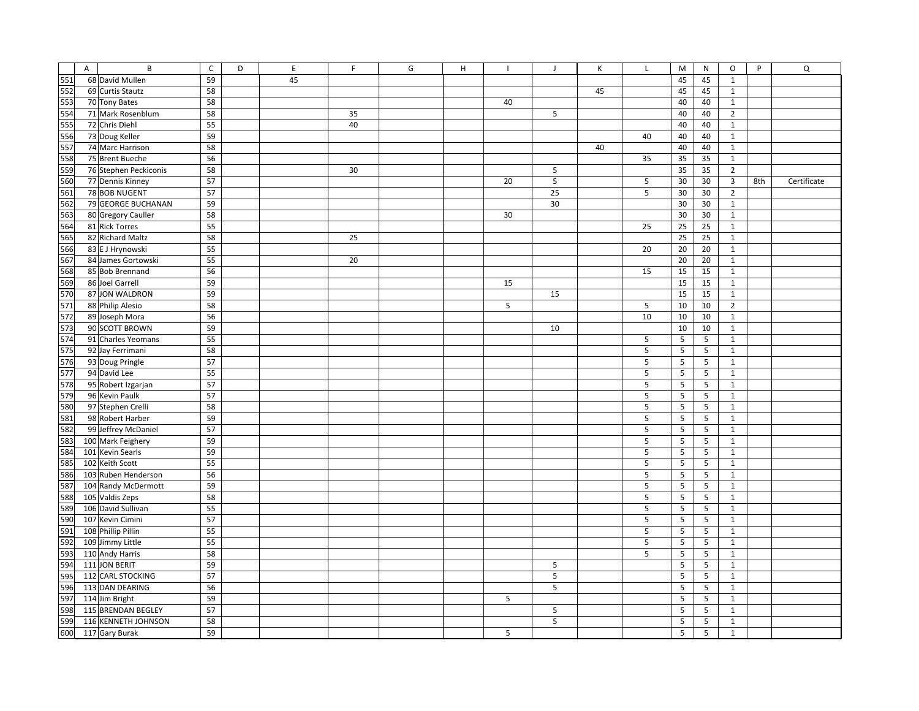|     | $\mathsf{A}$ | B                     | $\mathsf{C}$ | D | E  | F  | G | H |    | J  | К  | $\mathsf{L}$ | M               | N          | $\circ$        | P   | Q           |
|-----|--------------|-----------------------|--------------|---|----|----|---|---|----|----|----|--------------|-----------------|------------|----------------|-----|-------------|
| 551 |              | 68 David Mullen       | 59           |   | 45 |    |   |   |    |    |    |              | 45              | 45         | $\mathbf{1}$   |     |             |
| 552 |              | 69 Curtis Stautz      | 58           |   |    |    |   |   |    |    | 45 |              | 45              | 45         | $\mathbf{1}$   |     |             |
| 553 |              | 70 Tony Bates         | 58           |   |    |    |   |   | 40 |    |    |              | 40              | 40         | $\mathbf 1$    |     |             |
| 554 |              | 71 Mark Rosenblum     | 58           |   |    | 35 |   |   |    | 5  |    |              | 40              | 40         | $\overline{2}$ |     |             |
| 555 |              | 72 Chris Diehl        | 55           |   |    | 40 |   |   |    |    |    |              | 40              | 40         | $\mathbf 1$    |     |             |
| 556 |              | 73 Doug Keller        | 59           |   |    |    |   |   |    |    |    | 40           | 40              | 40         | $\mathbf{1}$   |     |             |
| 557 |              | 74 Marc Harrison      | 58           |   |    |    |   |   |    |    | 40 |              | 40              | 40         | $\mathbf 1$    |     |             |
| 558 |              | 75 Brent Bueche       | 56           |   |    |    |   |   |    |    |    | 35           | 35              | 35         | $\mathbf{1}$   |     |             |
| 559 |              | 76 Stephen Peckiconis | 58           |   |    | 30 |   |   |    | 5  |    |              | 35              | 35         | $\overline{2}$ |     |             |
| 560 |              | 77 Dennis Kinney      | 57           |   |    |    |   |   | 20 | 5  |    | 5            | 30              | 30         | 3              | 8th | Certificate |
| 561 |              | 78 BOB NUGENT         | 57           |   |    |    |   |   |    | 25 |    | 5            | 30              | 30         | $\overline{2}$ |     |             |
| 562 |              | 79 GEORGE BUCHANAN    | 59           |   |    |    |   |   |    | 30 |    |              | 30              | 30         | $\mathbf{1}$   |     |             |
| 563 |              | 80 Gregory Cauller    | 58           |   |    |    |   |   | 30 |    |    |              | 30              | 30         | $\mathbf 1$    |     |             |
| 564 |              | 81 Rick Torres        | 55           |   |    |    |   |   |    |    |    | 25           | 25              | 25         | $\mathbf{1}$   |     |             |
| 565 |              | 82 Richard Maltz      | 58           |   |    | 25 |   |   |    |    |    |              | 25              | 25         | $\mathbf 1$    |     |             |
| 566 |              | 83 E J Hrynowski      | 55           |   |    |    |   |   |    |    |    | 20           | 20              | 20         | $\mathbf 1$    |     |             |
| 567 |              | 84 James Gortowski    | 55           |   |    | 20 |   |   |    |    |    |              | 20              | 20         | $\mathbf 1$    |     |             |
| 568 |              | 85 Bob Brennand       | 56           |   |    |    |   |   |    |    |    | 15           | 15              | 15         | $\mathbf{1}$   |     |             |
| 569 |              | 86 Joel Garrell       | 59           |   |    |    |   |   | 15 |    |    |              | 15              | 15         | $\mathbf 1$    |     |             |
| 570 |              | 87 JON WALDRON        | 59           |   |    |    |   |   |    | 15 |    |              | 15              | 15         | $\mathbf{1}$   |     |             |
| 571 |              | 88 Philip Alesio      | 58           |   |    |    |   |   | 5  |    |    | 5            | 10              | 10         | $\overline{2}$ |     |             |
| 572 |              | 89 Joseph Mora        | 56           |   |    |    |   |   |    |    |    | 10           | 10              | 10         | $\mathbf{1}$   |     |             |
| 573 |              | 90 SCOTT BROWN        | 59           |   |    |    |   |   |    | 10 |    |              | 10              | 10         | $\mathbf 1$    |     |             |
| 574 |              | 91 Charles Yeomans    | 55           |   |    |    |   |   |    |    |    | 5            | 5               | 5          | $\mathbf{1}$   |     |             |
| 575 |              | 92 Jay Ferrimani      | 58           |   |    |    |   |   |    |    |    | 5            | 5               | 5          | $\mathbf{1}$   |     |             |
| 576 |              | 93 Doug Pringle       | 57           |   |    |    |   |   |    |    |    | 5            | 5               | 5          | $\mathbf 1$    |     |             |
| 577 |              | 94 David Lee          | 55           |   |    |    |   |   |    |    |    | 5            | 5               | 5          | $\mathbf 1$    |     |             |
| 578 |              | 95 Robert Izgarjan    | 57           |   |    |    |   |   |    |    |    | 5            | 5               | 5          | $\mathbf 1$    |     |             |
| 579 |              | 96 Kevin Paulk        | 57           |   |    |    |   |   |    |    |    | 5            | 5               | 5          | $\mathbf{1}$   |     |             |
| 580 |              | 97 Stephen Crelli     | 58           |   |    |    |   |   |    |    |    | 5            | 5               | $\sqrt{5}$ | $\mathbf 1$    |     |             |
| 581 |              | 98 Robert Harber      | 59           |   |    |    |   |   |    |    |    | 5            | 5               | 5          | $\mathbf{1}$   |     |             |
| 582 |              | 99 Jeffrey McDaniel   | 57           |   |    |    |   |   |    |    |    | 5            | 5               | 5          | $\mathbf 1$    |     |             |
| 583 |              | 100 Mark Feighery     | 59           |   |    |    |   |   |    |    |    | 5            | 5               | 5          | $\mathbf{1}$   |     |             |
| 584 |              | 101 Kevin Searls      | 59           |   |    |    |   |   |    |    |    | 5            | 5               | 5          | $\mathbf 1$    |     |             |
| 585 |              | 102 Keith Scott       | 55           |   |    |    |   |   |    |    |    | 5            | 5               | 5          | $\mathbf{1}$   |     |             |
| 586 |              | 103 Ruben Henderson   | 56           |   |    |    |   |   |    |    |    | 5            | 5               | 5          | $\mathbf{1}$   |     |             |
| 587 |              | 104 Randy McDermott   | 59           |   |    |    |   |   |    |    |    | 5            | $5\phantom{.0}$ | 5          | $\mathbf{1}$   |     |             |
| 588 |              | 105 Valdis Zeps       | 58           |   |    |    |   |   |    |    |    | 5            | 5               | 5          | $\mathbf{1}$   |     |             |
| 589 |              | 106 David Sullivan    | 55           |   |    |    |   |   |    |    |    | 5            | 5               | 5          | $\mathbf{1}$   |     |             |
| 590 |              | 107 Kevin Cimini      | 57           |   |    |    |   |   |    |    |    | 5            | 5               | $\sqrt{5}$ | $\mathbf 1$    |     |             |
| 591 |              | 108 Phillip Pillin    | 55           |   |    |    |   |   |    |    |    | 5            | 5               | 5          | $\mathbf{1}$   |     |             |
| 592 |              | 109 Jimmy Little      | 55           |   |    |    |   |   |    |    |    | 5            | 5               | $\sqrt{5}$ | $\mathbf{1}$   |     |             |
| 593 |              | 110 Andy Harris       | 58           |   |    |    |   |   |    |    |    | 5            | 5               | 5          | $\mathbf{1}$   |     |             |
| 594 |              | 111 JON BERIT         | 59           |   |    |    |   |   |    | 5  |    |              | 5               | 5          | $\mathbf 1$    |     |             |
| 595 |              | 112 CARL STOCKING     | 57           |   |    |    |   |   |    | 5  |    |              | 5               | 5          | $\mathbf{1}$   |     |             |
| 596 |              | 113 DAN DEARING       | 56           |   |    |    |   |   |    | 5  |    |              | 5               | 5          | $\mathbf{1}$   |     |             |
| 597 |              | 114 Jim Bright        | 59           |   |    |    |   |   | 5  |    |    |              | 5               | 5          | $\mathbf{1}$   |     |             |
| 598 |              | 115 BRENDAN BEGLEY    | 57           |   |    |    |   |   |    | 5  |    |              | 5               | 5          | $\mathbf{1}$   |     |             |
| 599 |              | 116 KENNETH JOHNSON   | 58           |   |    |    |   |   |    | 5  |    |              | 5               | 5          | $\mathbf{1}$   |     |             |
| 600 |              | 117 Gary Burak        | 59           |   |    |    |   |   | 5  |    |    |              | 5               | 5          | $\mathbf{1}$   |     |             |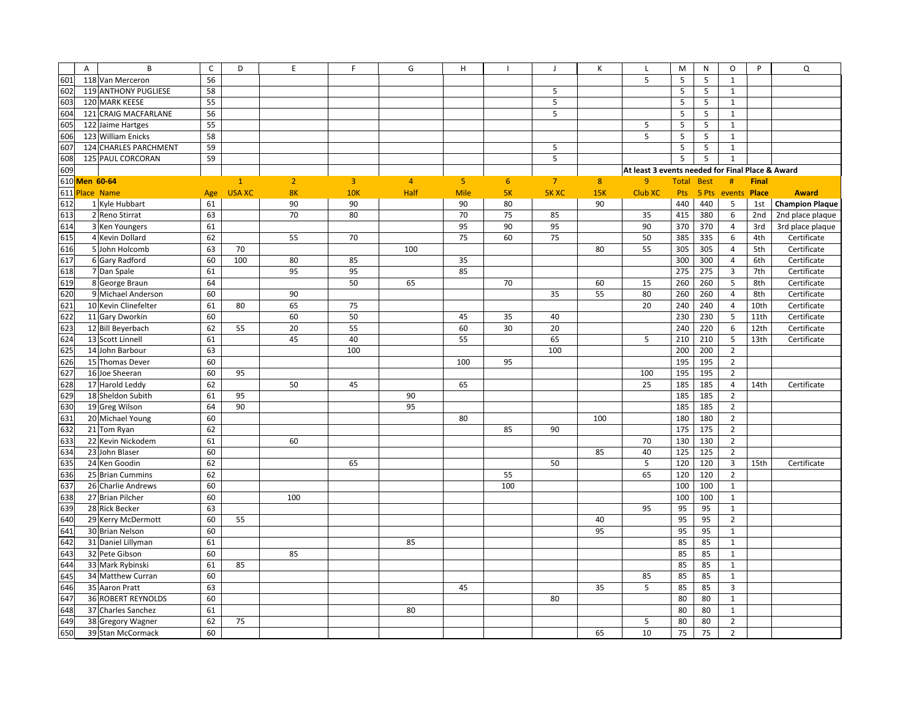|     | $\overline{A}$<br>B   | $\mathsf{C}$ | D             | E              | F.             | G              | H              |                | J              | К   | $\mathsf{L}$                                     | M                 | N     | $\circ$                 | P            | Q                      |
|-----|-----------------------|--------------|---------------|----------------|----------------|----------------|----------------|----------------|----------------|-----|--------------------------------------------------|-------------------|-------|-------------------------|--------------|------------------------|
| 601 | 118 Van Merceron      | 56           |               |                |                |                |                |                |                |     | 5                                                | 5                 | 5     | $\mathbf{1}$            |              |                        |
| 602 | 119 ANTHONY PUGLIESE  | 58           |               |                |                |                |                |                | 5              |     |                                                  | 5                 | 5     | $\mathbf{1}$            |              |                        |
| 603 | 120 MARK KEESE        | 55           |               |                |                |                |                |                | 5              |     |                                                  | 5                 | 5     | $\mathbf{1}$            |              |                        |
| 604 | 121 CRAIG MACFARLANE  | 56           |               |                |                |                |                |                | 5              |     |                                                  | 5                 | 5     | $\mathbf{1}$            |              |                        |
| 605 | 122 Jaime Hartges     | 55           |               |                |                |                |                |                |                |     | 5                                                | 5                 | 5     | 1                       |              |                        |
| 606 | 123 William Enicks    | 58           |               |                |                |                |                |                |                |     | 5                                                | 5                 | 5     | $\mathbf{1}$            |              |                        |
| 607 | 124 CHARLES PARCHMENT | 59           |               |                |                |                |                |                | 5              |     |                                                  | 5                 | 5     | $\mathbf{1}$            |              |                        |
| 608 | 125 PAUL CORCORAN     | 59           |               |                |                |                |                |                | 5              |     |                                                  | 5                 | 5     | $1\,$                   |              |                        |
| 609 |                       |              |               |                |                |                |                |                |                |     | At least 3 events needed for Final Place & Award |                   |       |                         |              |                        |
|     | 610 Men 60-64         |              | $\mathbf{1}$  | $\overline{2}$ | $\overline{3}$ | $\overline{4}$ | 5 <sub>1</sub> | 6 <sup>1</sup> | $\overline{7}$ | 8   | 9                                                | <b>Total Best</b> |       | #                       | <b>Final</b> |                        |
|     | 611 Place Name        | Age          | <b>USA XC</b> | <b>8K</b>      | 10K            | Half           | <b>Mile</b>    | 5K             | <b>5KXC</b>    | 15K | Club XC                                          | Pts               | 5 Pts | events                  | <b>Place</b> | <b>Award</b>           |
| 612 | 1 Kyle Hubbart        | 61           |               | 90             | 90             |                | 90             | 80             |                | 90  |                                                  | 440               | 440   | 5                       | 1st          | <b>Champion Plaque</b> |
| 613 | 2 Reno Stirrat        | 63           |               | 70             | 80             |                | 70             | 75             | 85             |     | 35                                               | 415               | 380   | 6                       | 2nd          | 2nd place plaque       |
| 614 | 3 Ken Youngers        | 61           |               |                |                |                | 95             | 90             | 95             |     | 90                                               | 370               | 370   | $\overline{4}$          | 3rd          | 3rd place plaque       |
| 615 | 4 Kevin Dollard       | 62           |               | 55             | 70             |                | 75             | 60             | 75             |     | 50                                               | 385               | 335   | 6                       | 4th          | Certificate            |
| 616 | 5 John Holcomb        | 63           | 70            |                |                | 100            |                |                |                | 80  | 55                                               | 305               | 305   | $\overline{4}$          | 5th          | Certificate            |
| 617 | 6 Gary Radford        | 60           | 100           | 80             | 85             |                | 35             |                |                |     |                                                  | 300               | 300   | $\overline{4}$          | 6th          | Certificate            |
| 618 | 7 Dan Spale           | 61           |               | 95             | 95             |                | 85             |                |                |     |                                                  | 275               | 275   | $\overline{\mathbf{3}}$ | 7th          | Certificate            |
| 619 | 8 George Braun        | 64           |               |                | 50             | 65             |                | 70             |                | 60  | 15                                               | 260               | 260   | 5                       | 8th          | Certificate            |
| 620 | 9 Michael Anderson    | 60           |               | 90             |                |                |                |                | 35             | 55  | 80                                               | 260               | 260   | $\overline{4}$          | 8th          | Certificate            |
| 621 | 10 Kevin Clinefelter  | 61           | 80            | 65             | 75             |                |                |                |                |     | 20                                               | 240               | 240   | $\overline{4}$          | 10th         | Certificate            |
| 622 | 11 Gary Dworkin       | 60           |               | 60             | 50             |                | 45             | 35             | 40             |     |                                                  | 230               | 230   | 5                       | 11th         | Certificate            |
| 623 | 12 Bill Beyerbach     | 62           | 55            | 20             | 55             |                | 60             | 30             | 20             |     |                                                  | 240               | 220   | 6                       | 12th         | Certificate            |
| 624 | 13 Scott Linnell      | 61           |               | 45             | 40             |                | 55             |                | 65             |     | 5                                                | 210               | 210   | 5                       | 13th         | Certificate            |
| 625 | 14 John Barbour       | 63           |               |                | 100            |                |                |                | 100            |     |                                                  | 200               | 200   | $\overline{2}$          |              |                        |
| 626 | 15 Thomas Dever       | 60           |               |                |                |                | 100            | 95             |                |     |                                                  | 195               | 195   | $\mathbf 2$             |              |                        |
| 627 | 16 Joe Sheeran        | 60           | 95            |                |                |                |                |                |                |     | 100                                              | 195               | 195   | $\overline{2}$          |              |                        |
| 628 | 17 Harold Leddy       | 62           |               | 50             | 45             |                | 65             |                |                |     | 25                                               | 185               | 185   | $\overline{4}$          | 14th         | Certificate            |
| 629 | 18 Sheldon Subith     | 61           | 95            |                |                | 90             |                |                |                |     |                                                  | 185               | 185   | $\overline{2}$          |              |                        |
| 630 | 19 Greg Wilson        | 64           | 90            |                |                | 95             |                |                |                |     |                                                  | 185               | 185   | $\overline{2}$          |              |                        |
| 631 | 20 Michael Young      | 60           |               |                |                |                | 80             |                |                | 100 |                                                  | 180               | 180   | $\overline{2}$          |              |                        |
| 632 | 21 Tom Ryan           | 62           |               |                |                |                |                | 85             | 90             |     |                                                  | 175               | 175   | $\mathbf 2$             |              |                        |
| 633 | 22 Kevin Nickodem     | 61           |               | 60             |                |                |                |                |                |     | 70                                               | 130               | 130   | $\overline{2}$          |              |                        |
| 634 | 23 John Blaser        | 60           |               |                |                |                |                |                |                | 85  | 40                                               | 125               | 125   | $\overline{2}$          |              |                        |
| 635 | 24 Ken Goodin         | 62           |               |                | 65             |                |                |                | 50             |     | 5                                                | 120               | 120   | $\overline{3}$          | 15th         | Certificate            |
| 636 | 25 Brian Cummins      | 62           |               |                |                |                |                | 55             |                |     | 65                                               | 120               | 120   | $\overline{2}$          |              |                        |
| 637 | 26 Charlie Andrews    | 60           |               |                |                |                |                | 100            |                |     |                                                  | 100               | 100   | $\mathbf{1}$            |              |                        |
| 638 | 27 Brian Pilcher      | 60           |               | 100            |                |                |                |                |                |     |                                                  | 100               | 100   | $\mathbf{1}$            |              |                        |
| 639 | 28 Rick Becker        | 63           |               |                |                |                |                |                |                |     | 95                                               | 95                | 95    | $\mathbf{1}$            |              |                        |
| 640 | 29 Kerry McDermott    | 60           | 55            |                |                |                |                |                |                | 40  |                                                  | 95                | 95    | $\mathbf 2$             |              |                        |
| 641 | 30 Brian Nelson       | 60           |               |                |                |                |                |                |                | 95  |                                                  | 95                | 95    | $\mathbf{1}$            |              |                        |
| 642 | 31 Daniel Lillyman    | 61           |               |                |                | 85             |                |                |                |     |                                                  | 85                | 85    | $\mathbf{1}$            |              |                        |
| 643 | 32 Pete Gibson        | 60           |               | 85             |                |                |                |                |                |     |                                                  | 85                | 85    | $\mathbf{1}$            |              |                        |
| 644 | 33 Mark Rybinski      | 61           | 85            |                |                |                |                |                |                |     |                                                  | 85                | 85    | $\mathbf{1}$            |              |                        |
| 645 | 34 Matthew Curran     | 60           |               |                |                |                |                |                |                |     | 85                                               | 85                | 85    | $\mathbf{1}$            |              |                        |
| 646 | 35 Aaron Pratt        | 63           |               |                |                |                | 45             |                |                | 35  | 5                                                | 85                | 85    | $\overline{3}$          |              |                        |
| 647 | 36 ROBERT REYNOLDS    | 60           |               |                |                |                |                |                | 80             |     |                                                  | 80                | 80    | $\mathbf{1}$            |              |                        |
| 648 | 37 Charles Sanchez    | 61           |               |                |                | 80             |                |                |                |     |                                                  | 80                | 80    | $\mathbf{1}$            |              |                        |
| 649 | 38 Gregory Wagner     | 62           | 75            |                |                |                |                |                |                |     | 5                                                | 80                | 80    | $\overline{2}$          |              |                        |
| 650 | 39 Stan McCormack     | 60           |               |                |                |                |                |                |                | 65  | 10                                               | 75                | 75    | $\overline{2}$          |              |                        |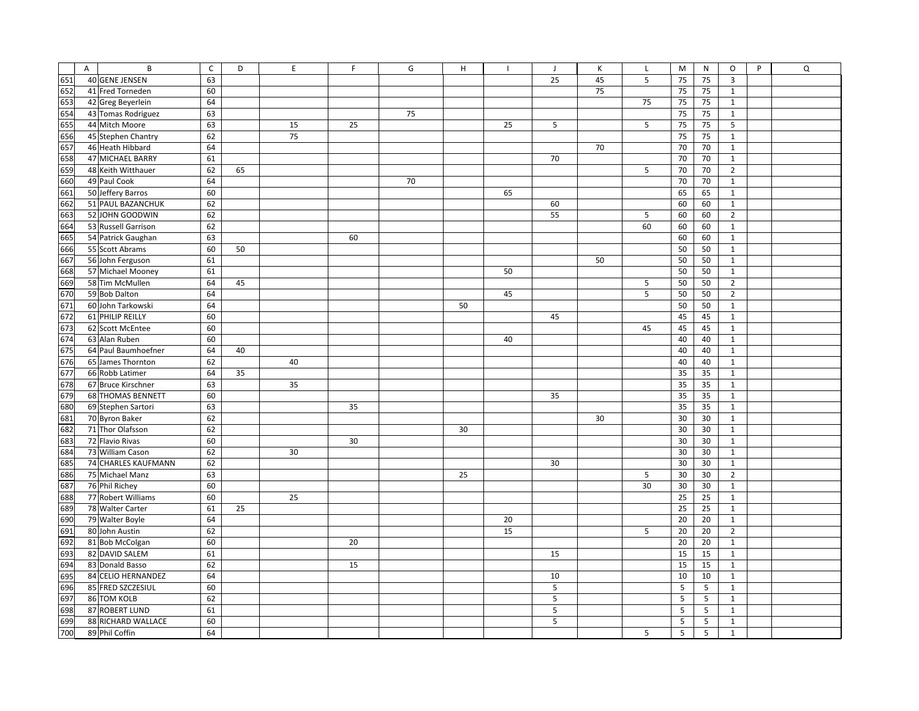|     | $\mathsf{A}$ | B                   | $\mathsf C$ | D  | E  | F. | G  | H  | $\mathbf{I}$ | $\mathsf{J}$ | К  | $\mathsf{L}$ | M  | N  | $\circ$        | P | Q |
|-----|--------------|---------------------|-------------|----|----|----|----|----|--------------|--------------|----|--------------|----|----|----------------|---|---|
| 651 |              | 40 GENE JENSEN      | 63          |    |    |    |    |    |              | 25           | 45 | 5            | 75 | 75 | 3              |   |   |
| 652 |              | 41 Fred Torneden    | 60          |    |    |    |    |    |              |              | 75 |              | 75 | 75 | $\mathbf{1}$   |   |   |
| 653 |              | 42 Greg Beyerlein   | 64          |    |    |    |    |    |              |              |    | 75           | 75 | 75 | $\mathbf{1}$   |   |   |
| 654 |              | 43 Tomas Rodriguez  | 63          |    |    |    | 75 |    |              |              |    |              | 75 | 75 | $\mathbf{1}$   |   |   |
| 655 |              | 44 Mitch Moore      | 63          |    | 15 | 25 |    |    | 25           | 5            |    | 5            | 75 | 75 | 5              |   |   |
| 656 |              | 45 Stephen Chantry  | 62          |    | 75 |    |    |    |              |              |    |              | 75 | 75 | $\mathbf{1}$   |   |   |
| 657 |              | 46 Heath Hibbard    | 64          |    |    |    |    |    |              |              | 70 |              | 70 | 70 | $\mathbf{1}$   |   |   |
| 658 |              | 47 MICHAEL BARRY    | 61          |    |    |    |    |    |              | 70           |    |              | 70 | 70 | $\mathbf 1$    |   |   |
| 659 |              | 48 Keith Witthauer  | 62          | 65 |    |    |    |    |              |              |    | 5            | 70 | 70 | $\overline{2}$ |   |   |
| 660 |              | 49 Paul Cook        | 64          |    |    |    | 70 |    |              |              |    |              | 70 | 70 | $\mathbf 1$    |   |   |
| 661 |              | 50 Jeffery Barros   | 60          |    |    |    |    |    | 65           |              |    |              | 65 | 65 | $\mathbf{1}$   |   |   |
| 662 |              | 51 PAUL BAZANCHUK   | 62          |    |    |    |    |    |              | 60           |    |              | 60 | 60 | $\mathbf{1}$   |   |   |
| 663 |              | 52 JOHN GOODWIN     | 62          |    |    |    |    |    |              | 55           |    | 5            | 60 | 60 | $\overline{2}$ |   |   |
| 664 |              | 53 Russell Garrison | 62          |    |    |    |    |    |              |              |    | 60           | 60 | 60 | $\mathbf 1$    |   |   |
| 665 |              | 54 Patrick Gaughan  | 63          |    |    | 60 |    |    |              |              |    |              | 60 | 60 | $\mathbf{1}$   |   |   |
| 666 |              | 55 Scott Abrams     | 60          | 50 |    |    |    |    |              |              |    |              | 50 | 50 | $\mathbf{1}$   |   |   |
| 667 |              | 56 John Ferguson    | 61          |    |    |    |    |    |              |              | 50 |              | 50 | 50 | $\mathbf 1$    |   |   |
| 668 |              | 57 Michael Mooney   | 61          |    |    |    |    |    | 50           |              |    |              | 50 | 50 | $\mathbf 1$    |   |   |
| 669 |              | 58 Tim McMullen     | 64          | 45 |    |    |    |    |              |              |    | 5            | 50 | 50 | $\overline{2}$ |   |   |
| 670 |              | 59 Bob Dalton       | 64          |    |    |    |    |    | 45           |              |    | 5            | 50 | 50 | $\overline{2}$ |   |   |
| 671 |              | 60 John Tarkowski   | 64          |    |    |    |    | 50 |              |              |    |              | 50 | 50 | $\mathbf 1$    |   |   |
| 672 |              | 61 PHILIP REILLY    | 60          |    |    |    |    |    |              | 45           |    |              | 45 | 45 | $\mathbf{1}$   |   |   |
| 673 |              | 62 Scott McEntee    | 60          |    |    |    |    |    |              |              |    | 45           | 45 | 45 | $\mathbf{1}$   |   |   |
| 674 |              | 63 Alan Ruben       | 60          |    |    |    |    |    | 40           |              |    |              | 40 | 40 | $\mathbf{1}$   |   |   |
| 675 |              | 64 Paul Baumhoefner | 64          | 40 |    |    |    |    |              |              |    |              | 40 | 40 | $\mathbf{1}$   |   |   |
| 676 |              | 65 James Thornton   | 62          |    | 40 |    |    |    |              |              |    |              | 40 | 40 | $\mathbf{1}$   |   |   |
| 677 |              | 66 Robb Latimer     | 64          | 35 |    |    |    |    |              |              |    |              | 35 | 35 | $\mathbf 1$    |   |   |
| 678 |              | 67 Bruce Kirschner  | 63          |    | 35 |    |    |    |              |              |    |              | 35 | 35 | $\mathbf{1}$   |   |   |
| 679 |              | 68 THOMAS BENNETT   | 60          |    |    |    |    |    |              | 35           |    |              | 35 | 35 | $\mathbf{1}$   |   |   |
| 680 |              | 69 Stephen Sartori  | 63          |    |    | 35 |    |    |              |              |    |              | 35 | 35 | $\mathbf{1}$   |   |   |
| 681 |              | 70 Byron Baker      | 62          |    |    |    |    |    |              |              | 30 |              | 30 | 30 | $\mathbf 1$    |   |   |
| 682 |              | 71 Thor Olafsson    | 62          |    |    |    |    | 30 |              |              |    |              | 30 | 30 | $\mathbf{1}$   |   |   |
| 683 |              | 72 Flavio Rivas     | 60          |    |    | 30 |    |    |              |              |    |              | 30 | 30 | $\mathbf{1}$   |   |   |
| 684 |              | 73 William Cason    | 62          |    | 30 |    |    |    |              |              |    |              | 30 | 30 | $\mathbf{1}$   |   |   |
| 685 |              | 74 CHARLES KAUFMANN | 62          |    |    |    |    |    |              | 30           |    |              | 30 | 30 | $\mathbf 1$    |   |   |
| 686 |              | 75 Michael Manz     | 63          |    |    |    |    | 25 |              |              |    | 5            | 30 | 30 | $\overline{2}$ |   |   |
| 687 |              | 76 Phil Richey      | 60          |    |    |    |    |    |              |              |    | 30           | 30 | 30 | $\mathbf{1}$   |   |   |
| 688 |              | 77 Robert Williams  | 60          |    | 25 |    |    |    |              |              |    |              | 25 | 25 | $\mathbf{1}$   |   |   |
| 689 |              | 78 Walter Carter    | 61          | 25 |    |    |    |    |              |              |    |              | 25 | 25 | $\mathbf{1}$   |   |   |
| 690 |              | 79 Walter Boyle     | 64          |    |    |    |    |    | 20           |              |    |              | 20 | 20 | $\mathbf 1$    |   |   |
| 691 |              | 80 John Austin      | 62          |    |    |    |    |    | 15           |              |    | 5            | 20 | 20 | $\overline{2}$ |   |   |
| 692 |              | 81 Bob McColgan     | 60          |    |    | 20 |    |    |              |              |    |              | 20 | 20 | $\mathbf{1}$   |   |   |
| 693 |              | 82 DAVID SALEM      | 61          |    |    |    |    |    |              | 15           |    |              | 15 | 15 | $\mathbf{1}$   |   |   |
| 694 |              | 83 Donald Basso     | 62          |    |    | 15 |    |    |              |              |    |              | 15 | 15 | $\mathbf 1$    |   |   |
| 695 |              | 84 CELIO HERNANDEZ  | 64          |    |    |    |    |    |              | 10           |    |              | 10 | 10 | $\mathbf{1}$   |   |   |
| 696 |              | 85 FRED SZCZESIUL   | 60          |    |    |    |    |    |              | 5            |    |              | 5  | 5  | $\mathbf{1}$   |   |   |
| 697 |              | 86 TOM KOLB         | 62          |    |    |    |    |    |              | 5            |    |              | 5  | 5  | $\mathbf{1}$   |   |   |
| 698 |              | 87 ROBERT LUND      | 61          |    |    |    |    |    |              | 5            |    |              | 5  | 5  | $\mathbf{1}$   |   |   |
| 699 |              | 88 RICHARD WALLACE  | 60          |    |    |    |    |    |              | 5            |    |              | 5  | 5  | $\mathbf{1}$   |   |   |
| 700 |              | 89 Phil Coffin      | 64          |    |    |    |    |    |              |              |    | 5            | 5  | 5  | $\mathbf{1}$   |   |   |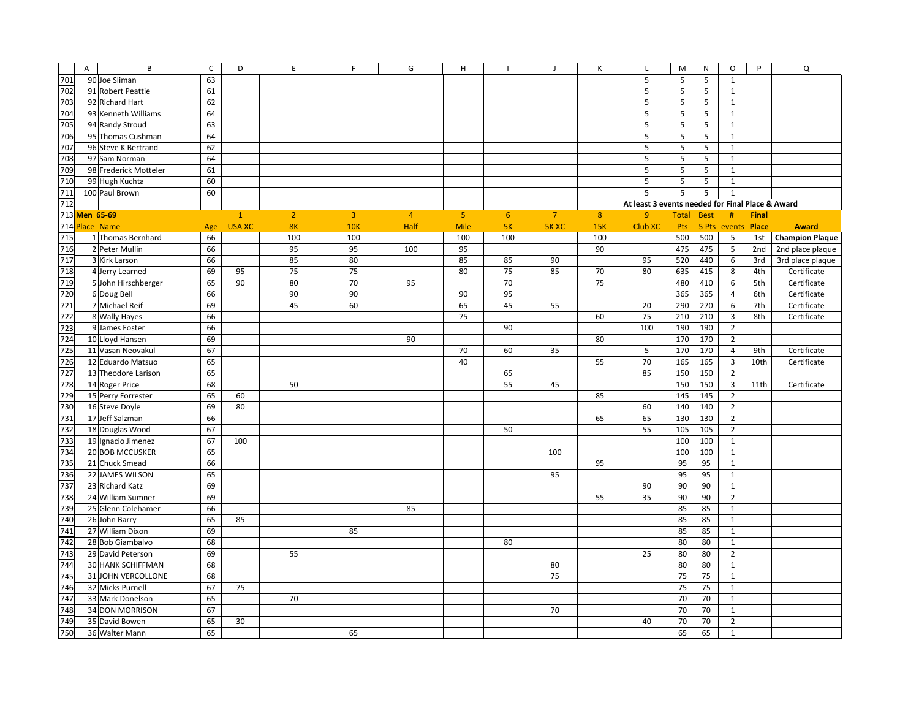|     | $\overline{A}$ | B                        | $\mathsf{C}$ | D             | $\mathsf E$    | F.             | G              | H              |                | J              | К              | $\mathsf{L}$                                     | M            | N           | O                       | P            | $\mathsf Q$            |
|-----|----------------|--------------------------|--------------|---------------|----------------|----------------|----------------|----------------|----------------|----------------|----------------|--------------------------------------------------|--------------|-------------|-------------------------|--------------|------------------------|
| 701 |                | 90 Joe Sliman            | 63           |               |                |                |                |                |                |                |                | 5                                                | 5            | 5           | $\mathbf{1}$            |              |                        |
| 702 |                | 91 Robert Peattie        | 61           |               |                |                |                |                |                |                |                | 5                                                | 5            | 5           | $\mathbf{1}$            |              |                        |
| 703 |                | 92 Richard Hart          | 62           |               |                |                |                |                |                |                |                | 5                                                | 5            | 5           | $\mathbf{1}$            |              |                        |
| 704 |                | 93 Kenneth Williams      | 64           |               |                |                |                |                |                |                |                | $\mathsf S$                                      | 5            | 5           | $\mathbf{1}$            |              |                        |
|     |                |                          |              |               |                |                |                |                |                |                |                | 5                                                |              |             |                         |              |                        |
| 705 |                | 94 Randy Stroud          | 63           |               |                |                |                |                |                |                |                |                                                  | 5            | 5           | 1                       |              |                        |
| 706 |                | 95 Thomas Cushman        | 64           |               |                |                |                |                |                |                |                | 5                                                | 5            | 5           | $\mathbf{1}$            |              |                        |
| 707 |                | 96 Steve K Bertrand      | 62           |               |                |                |                |                |                |                |                | 5                                                | 5            | 5           | $\mathbf{1}$            |              |                        |
| 708 |                | 97 Sam Norman            | 64           |               |                |                |                |                |                |                |                | 5                                                | 5            | 5           | $\mathbf{1}$            |              |                        |
| 709 |                | 98 Frederick Motteler    | 61           |               |                |                |                |                |                |                |                | 5                                                | 5            | 5           | $\mathbf{1}$            |              |                        |
| 710 |                | 99 Hugh Kuchta           | 60           |               |                |                |                |                |                |                |                | $\mathsf S$                                      | 5            | 5           | $\mathbf{1}$            |              |                        |
| 711 |                | 100 Paul Brown           | 60           |               |                |                |                |                |                |                |                | 5                                                | 5            | 5           | $\mathbf{1}$            |              |                        |
| 712 |                |                          |              |               |                |                |                |                |                |                |                | At least 3 events needed for Final Place & Award |              |             |                         |              |                        |
|     | 713 Men 65-69  |                          |              | $\mathbf{1}$  | 2 <sup>2</sup> | $\overline{3}$ | $\overline{4}$ | 5 <sub>1</sub> | 6 <sup>1</sup> | $\overline{7}$ | 8 <sup>°</sup> | 9                                                | <b>Total</b> | <b>Best</b> | #                       | <b>Final</b> |                        |
|     | 714 Place Name |                          | Age          | <b>USA XC</b> | 8K             | 10K            | Half           | <b>Mile</b>    | 5K             | <b>5K XC</b>   | 15K            | Club XC                                          | Pts          | 5 Pts       | events Place            |              | <b>Award</b>           |
| 715 |                | 1 Thomas Bernhard        | 66           |               | 100            | 100            |                | 100            | 100            |                | 100            |                                                  | 500          | 500         | 5                       | 1st          | <b>Champion Plaque</b> |
| 716 |                | 2 Peter Mullin           | 66           |               | 95             | 95             | 100            | 95             |                |                | 90             |                                                  | 475          | 475         | 5                       | 2nd          | 2nd place plaque       |
| 717 |                | 3 Kirk Larson            | 66           |               | 85             | 80             |                | 85             | 85             | 90             |                | 95                                               | 520          | 440         | 6                       | 3rd          | 3rd place plaque       |
| 718 |                | 4 Jerry Learned          | 69           | 95            | 75             | 75             |                | 80             | 75             | 85             | 70             | 80                                               | 635          | 415         | 8                       | 4th          | Certificate            |
| 719 |                | 5 John Hirschberger      | 65           | 90            | 80             | 70             | 95             |                | 70             |                | 75             |                                                  | 480          | 410         | 6                       | 5th          | Certificate            |
| 720 |                | 6 Doug Bell              | 66           |               | 90             | 90             |                | 90             | 95             |                |                |                                                  | 365          | 365         | $\overline{4}$          | 6th          | Certificate            |
| 721 |                | 7 Michael Reif           | 69           |               | 45             | 60             |                | 65             | 45             | 55             |                | 20                                               | 290          | 270         | 6                       | 7th          | Certificate            |
| 722 |                | 8 Wally Hayes            | 66           |               |                |                |                | 75             |                |                | 60             | 75                                               | 210          | 210         | $\overline{3}$          | 8th          | Certificate            |
| 723 |                |                          | 66           |               |                |                |                |                | 90             |                |                |                                                  | 190          | 190         |                         |              |                        |
| 724 |                | 9 James Foster           |              |               |                |                |                |                |                |                |                | 100                                              |              |             | $\overline{2}$          |              |                        |
|     |                | 10 Lloyd Hansen          | 69           |               |                |                | 90             |                |                |                | 80             |                                                  | 170          | 170         | $\overline{2}$          |              |                        |
| 725 |                | 11 Vasan Neovakul        | 67           |               |                |                |                | 70             | 60             | 35             |                | 5                                                | 170          | 170         | $\overline{4}$          | 9th          | Certificate            |
| 726 |                | 12 Eduardo Matsuo        | 65           |               |                |                |                | 40             |                |                | 55             | 70                                               | 165          | 165         | $\overline{\mathbf{3}}$ | 10th         | Certificate            |
| 727 |                | 13 Theodore Larison      | 65           |               |                |                |                |                | 65             |                |                | 85                                               | 150          | 150         | $\overline{2}$          |              |                        |
| 728 |                | 14 Roger Price           | 68           |               | 50             |                |                |                | 55             | 45             |                |                                                  | 150          | 150         | $\overline{\mathbf{3}}$ | 11th         | Certificate            |
| 729 |                | 15 Perry Forrester       | 65           | 60            |                |                |                |                |                |                | 85             |                                                  | 145          | 145         | $\overline{2}$          |              |                        |
| 730 |                | 16 Steve Doyle           | 69           | 80            |                |                |                |                |                |                |                | 60                                               | 140          | 140         | $\overline{2}$          |              |                        |
| 731 |                | 17 Jeff Salzman          | 66           |               |                |                |                |                |                |                | 65             | 65                                               | 130          | 130         | $\overline{2}$          |              |                        |
| 732 |                | 18 Douglas Wood          | 67           |               |                |                |                |                | 50             |                |                | 55                                               | 105          | 105         | $\overline{2}$          |              |                        |
| 733 |                | 19 Ignacio Jimenez       | 67           | 100           |                |                |                |                |                |                |                |                                                  | 100          | 100         | $\mathbf{1}$            |              |                        |
| 734 |                | 20 BOB MCCUSKER          | 65           |               |                |                |                |                |                | 100            |                |                                                  | 100          | 100         | $\mathbf{1}$            |              |                        |
| 735 |                | 21 Chuck Smead           | 66           |               |                |                |                |                |                |                | 95             |                                                  | 95           | 95          | $\mathbf{1}$            |              |                        |
| 736 |                | 22 JAMES WILSON          | 65           |               |                |                |                |                |                | 95             |                |                                                  | 95           | 95          | $\mathbf{1}$            |              |                        |
| 737 |                | 23 Richard Katz          | 69           |               |                |                |                |                |                |                |                | 90                                               | 90           | 90          | $\mathbf{1}$            |              |                        |
| 738 |                | 24 William Sumner        | 69           |               |                |                |                |                |                |                | 55             | 35                                               | 90           | 90          | $\overline{2}$          |              |                        |
| 739 |                | 25 Glenn Colehamer       | 66           |               |                |                | 85             |                |                |                |                |                                                  | 85           | 85          | $\mathbf{1}$            |              |                        |
| 740 |                | 26 John Barry            | 65           | 85            |                |                |                |                |                |                |                |                                                  | 85           | 85          | $\mathbf{1}$            |              |                        |
| 741 |                | 27 William Dixon         | 69           |               |                | 85             |                |                |                |                |                |                                                  | 85           | 85          | $\mathbf{1}$            |              |                        |
| 742 |                | 28 Bob Giambalvo         | 68           |               |                |                |                |                | 80             |                |                |                                                  | 80           | 80          | $\mathbf{1}$            |              |                        |
| 743 |                | 29 David Peterson        | 69           |               | 55             |                |                |                |                |                |                | 25                                               | 80           | 80          | $\overline{2}$          |              |                        |
| 744 |                | <b>30 HANK SCHIFFMAN</b> | 68           |               |                |                |                |                |                | 80             |                |                                                  | 80           | 80          | $\mathbf{1}$            |              |                        |
| 745 |                | 31 JOHN VERCOLLONE       | 68           |               |                |                |                |                |                | 75             |                |                                                  | 75           | 75          | $\mathbf{1}$            |              |                        |
| 746 |                | 32 Micks Purnell         | 67           | 75            |                |                |                |                |                |                |                |                                                  | 75           | 75          | $\mathbf{1}$            |              |                        |
| 747 |                | 33 Mark Donelson         | 65           |               | 70             |                |                |                |                |                |                |                                                  | 70           | 70          | $\mathbf{1}$            |              |                        |
| 748 |                | 34 DON MORRISON          | 67           |               |                |                |                |                |                | 70             |                |                                                  | 70           | 70          | $\mathbf{1}$            |              |                        |
| 749 |                | 35 David Bowen           | 65           | 30            |                |                |                |                |                |                |                | 40                                               | 70           | 70          | $\overline{2}$          |              |                        |
| 750 |                | 36 Walter Mann           | 65           |               |                | 65             |                |                |                |                |                |                                                  | 65           | 65          | $\mathbf{1}$            |              |                        |
|     |                |                          |              |               |                |                |                |                |                |                |                |                                                  |              |             |                         |              |                        |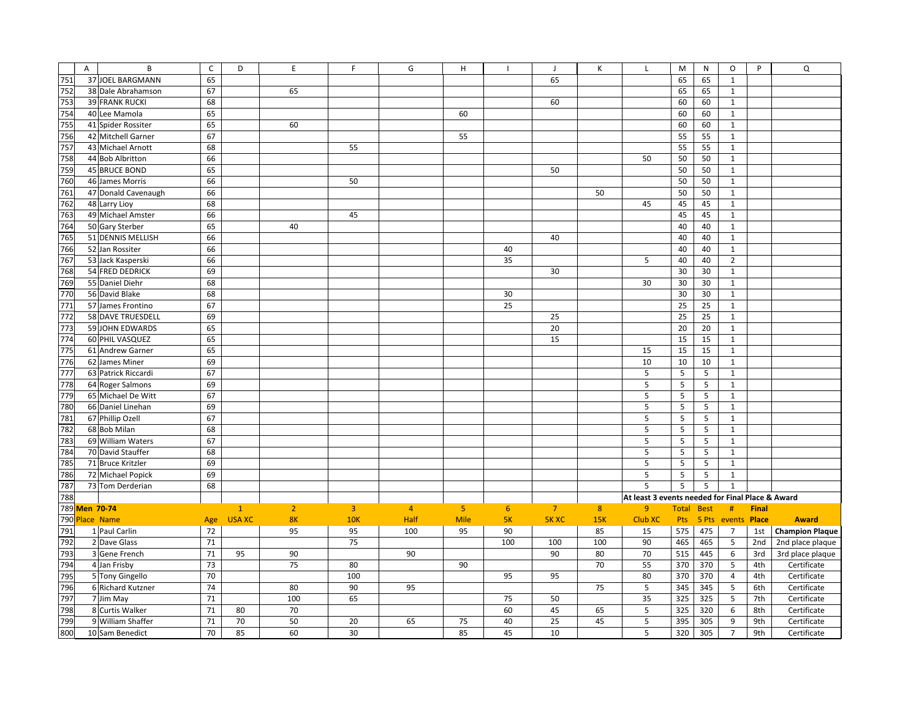|     | A             | B                     | $\mathsf{C}$ | D             | $\mathsf E$    | F.             | G              | Н              |     | $\mathbf{J}$   | К   |                                                  | M                 | N     | $\circ$          | P            | Q                      |
|-----|---------------|-----------------------|--------------|---------------|----------------|----------------|----------------|----------------|-----|----------------|-----|--------------------------------------------------|-------------------|-------|------------------|--------------|------------------------|
| 751 |               | 37 JOEL BARGMANN      | 65           |               |                |                |                |                |     | 65             |     |                                                  | 65                | 65    | $\mathbf{1}$     |              |                        |
| 752 |               | 38 Dale Abrahamson    | 67           |               | 65             |                |                |                |     |                |     |                                                  | 65                | 65    | $\mathbf{1}$     |              |                        |
| 753 |               | <b>39 FRANK RUCKI</b> | 68           |               |                |                |                |                |     | 60             |     |                                                  | 60                | 60    | $\mathbf{1}$     |              |                        |
| 754 |               | 40 Lee Mamola         | 65           |               |                |                |                | 60             |     |                |     |                                                  | 60                |       | $\mathbf{1}$     |              |                        |
|     |               |                       |              |               |                |                |                |                |     |                |     |                                                  |                   | 60    |                  |              |                        |
| 755 |               | 41 Spider Rossiter    | 65           |               | 60             |                |                |                |     |                |     |                                                  | 60                | 60    | $\mathbf{1}$     |              |                        |
| 756 |               | 42 Mitchell Garner    | 67           |               |                |                |                | 55             |     |                |     |                                                  | 55                | 55    | $\mathbf{1}$     |              |                        |
| 757 |               | 43 Michael Arnott     | 68           |               |                | 55             |                |                |     |                |     |                                                  | 55                | 55    | $\mathbf{1}$     |              |                        |
| 758 |               | 44 Bob Albritton      | 66           |               |                |                |                |                |     |                |     | 50                                               | 50                | 50    | $\mathbf{1}$     |              |                        |
| 759 |               | 45 BRUCE BOND         | 65           |               |                |                |                |                |     | 50             |     |                                                  | 50                | 50    | $\mathbf{1}$     |              |                        |
| 760 |               | 46 James Morris       | 66           |               |                | 50             |                |                |     |                |     |                                                  | 50                | 50    | $\mathbf{1}$     |              |                        |
| 761 |               | 47 Donald Cavenaugh   | 66           |               |                |                |                |                |     |                | 50  |                                                  | 50                | 50    | $\mathbf{1}$     |              |                        |
| 762 |               | 48 Larry Lioy         | 68           |               |                |                |                |                |     |                |     | 45                                               | 45                | 45    | $\mathbf{1}$     |              |                        |
| 763 |               | 49 Michael Amster     | 66           |               |                | 45             |                |                |     |                |     |                                                  | 45                | 45    | $\mathbf{1}$     |              |                        |
| 764 |               | 50 Gary Sterber       | 65           |               | 40             |                |                |                |     |                |     |                                                  | 40                | 40    | $\mathbf{1}$     |              |                        |
| 765 |               | 51 DENNIS MELLISH     | 66           |               |                |                |                |                |     | 40             |     |                                                  | 40                | 40    | $\mathbf{1}$     |              |                        |
| 766 |               | 52 Jan Rossiter       | 66           |               |                |                |                |                | 40  |                |     |                                                  | 40                | 40    | $\mathbf{1}$     |              |                        |
| 767 |               | 53 Jack Kasperski     | 66           |               |                |                |                |                | 35  |                |     | 5                                                | 40                | 40    | $\overline{2}$   |              |                        |
| 768 |               | 54 FRED DEDRICK       | 69           |               |                |                |                |                |     | 30             |     |                                                  | 30                | 30    | $\mathbf{1}$     |              |                        |
| 769 |               | 55 Daniel Diehr       | 68           |               |                |                |                |                |     |                |     | 30                                               | 30                | 30    | $\mathbf{1}$     |              |                        |
| 770 |               | 56 David Blake        | 68           |               |                |                |                |                | 30  |                |     |                                                  | 30                | 30    | $\mathbf{1}$     |              |                        |
| 771 |               | 57 James Frontino     | 67           |               |                |                |                |                | 25  |                |     |                                                  | 25                | 25    | $\mathbf{1}$     |              |                        |
| 772 |               | 58 DAVE TRUESDELL     | 69           |               |                |                |                |                |     | 25             |     |                                                  | 25                | 25    | $\mathbf{1}$     |              |                        |
| 773 |               | 59 JOHN EDWARDS       | 65           |               |                |                |                |                |     | 20             |     |                                                  | 20                | 20    | $\mathbf{1}$     |              |                        |
| 774 |               | 60 PHIL VASQUEZ       | 65           |               |                |                |                |                |     | 15             |     |                                                  | 15                | 15    | $\mathbf{1}$     |              |                        |
| 775 |               | 61 Andrew Garner      | 65           |               |                |                |                |                |     |                |     | 15                                               | 15                | 15    | $\mathbf{1}$     |              |                        |
| 776 |               | 62 James Miner        | 69           |               |                |                |                |                |     |                |     | 10                                               | 10                | 10    | $\mathbf{1}$     |              |                        |
| 777 |               | 63 Patrick Riccardi   | 67           |               |                |                |                |                |     |                |     | 5                                                | 5                 | 5     | $\mathbf{1}$     |              |                        |
| 778 |               | 64 Roger Salmons      | 69           |               |                |                |                |                |     |                |     | 5                                                | 5                 | 5     | $\mathbf{1}$     |              |                        |
| 779 |               | 65 Michael De Witt    | 67           |               |                |                |                |                |     |                |     | 5                                                | 5                 | 5     | $\mathbf{1}$     |              |                        |
| 780 |               | 66 Daniel Linehan     | 69           |               |                |                |                |                |     |                |     | 5                                                | 5                 | 5     | $\mathbf{1}$     |              |                        |
| 781 |               | 67 Phillip Ozell      | 67           |               |                |                |                |                |     |                |     | $\mathsf S$                                      | 5                 | 5     | $\mathbf{1}$     |              |                        |
| 782 |               | 68 Bob Milan          | 68           |               |                |                |                |                |     |                |     | 5                                                | 5                 | 5     | $\mathbf{1}$     |              |                        |
| 783 |               | 69 William Waters     | 67           |               |                |                |                |                |     |                |     | 5                                                | 5                 | 5     | $\mathbf{1}$     |              |                        |
| 784 |               | 70 David Stauffer     | 68           |               |                |                |                |                |     |                |     | 5                                                | 5                 | 5     | $\mathbf{1}$     |              |                        |
| 785 |               | 71 Bruce Kritzler     | 69           |               |                |                |                |                |     |                |     | 5                                                | 5                 | 5     | $\mathbf{1}$     |              |                        |
| 786 |               | 72 Michael Popick     | 69           |               |                |                |                |                |     |                |     | 5                                                | 5                 | 5     | $\mathbf{1}$     |              |                        |
| 787 |               | 73 Tom Derderian      | 68           |               |                |                |                |                |     |                |     | 5                                                | 5                 | 5     | $\mathbf{1}$     |              |                        |
| 788 |               |                       |              |               |                |                |                |                |     |                |     | At least 3 events needed for Final Place & Award |                   |       |                  |              |                        |
|     |               |                       |              |               |                |                |                |                | 6   |                |     |                                                  |                   |       |                  |              |                        |
|     | 789 Men 70-74 |                       |              | $\mathbf{1}$  | $\overline{2}$ | $\overline{3}$ | $\overline{4}$ | 5 <sub>1</sub> |     | $\overline{7}$ | 8   | 9 <sup>°</sup>                                   | <b>Total Best</b> |       | #                | <b>Final</b> |                        |
| 790 |               | Place Name            | Age          | <b>USA XC</b> | 8K             | <b>10K</b>     | Half           | <b>Mile</b>    | 5K  | <b>5KXC</b>    | 15K | Club XC                                          | <b>Pts</b>        | 5 Pts | events Place     |              | <b>Award</b>           |
| 791 |               | 1 Paul Carlin         | 72           |               | 95             | 95             | 100            | 95             | 90  |                | 85  | 15                                               | 575               | 475   | $\overline{7}$   | 1st          | <b>Champion Plaque</b> |
| 792 |               | 2 Dave Glass          | 71           |               |                | 75             |                |                | 100 | 100            | 100 | 90                                               | 465               | 465   | 5                | 2nd          | 2nd place plaque       |
| 793 |               | 3 Gene French         | $71\,$       | 95            | 90             |                | 90             |                |     | 90             | 80  | 70                                               | 515               | 445   | 6                | 3rd          | 3rd place plaque       |
| 794 |               | 4 Jan Frisby          | 73           |               | 75             | 80             |                | 90             |     |                | 70  | 55                                               | 370               | 370   | 5                | 4th          | Certificate            |
| 795 |               | 5 Tony Gingello       | 70           |               |                | 100            |                |                | 95  | 95             |     | 80                                               | 370               | 370   | $\overline{4}$   | 4th          | Certificate            |
| 796 |               | 6 Richard Kutzner     | 74           |               | 80             | 90             | 95             |                |     |                | 75  | 5                                                | 345               | 345   | 5                | 6th          | Certificate            |
| 797 |               | 7 Jim May             | $71\,$       |               | 100            | 65             |                |                | 75  | 50             |     | 35                                               | 325               | 325   | 5                | 7th          | Certificate            |
| 798 |               | 8 Curtis Walker       | 71           | 80            | 70             |                |                |                | 60  | 45             | 65  | 5                                                | 325               | 320   | 6                | 8th          | Certificate            |
| 799 |               | 9 William Shaffer     | $71\,$       | 70            | 50             | 20             | 65             | 75             | 40  | 25             | 45  | 5                                                | 395               | 305   | $\boldsymbol{9}$ | 9th          | Certificate            |
| 800 |               | 10 Sam Benedict       | 70           | 85            | 60             | 30             |                | 85             | 45  | 10             |     | 5                                                | 320               | 305   | $\overline{7}$   | 9th          | Certificate            |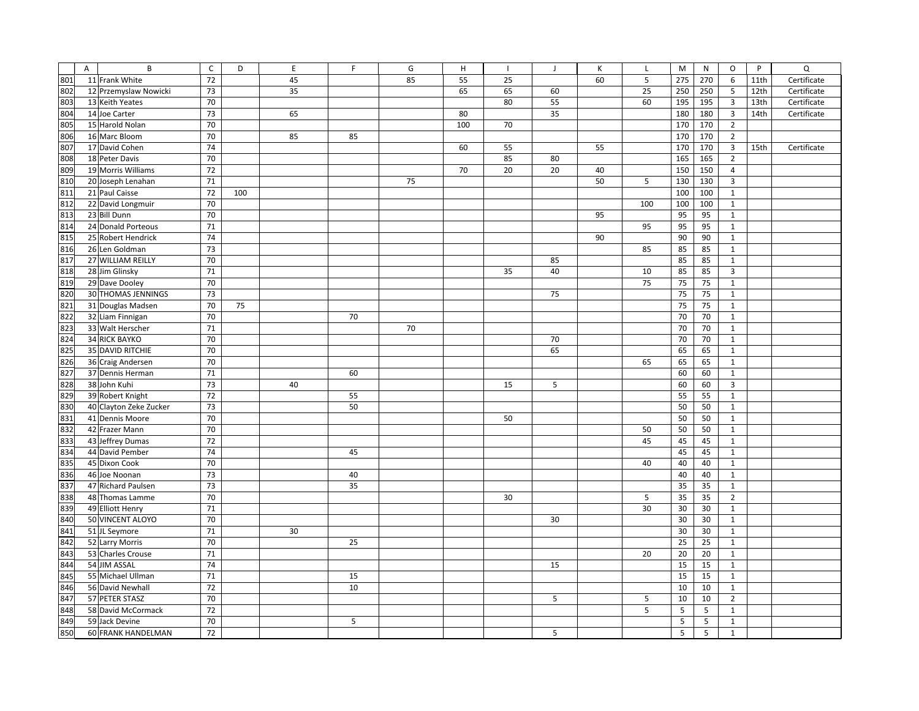|     | $\overline{A}$ | B                      | $\mathsf{C}$ | D   | $\mathsf E$ | F. | G  | $\mathsf H$ |    | J  | К  | L   | M   | N   | O                       | P    | Q           |
|-----|----------------|------------------------|--------------|-----|-------------|----|----|-------------|----|----|----|-----|-----|-----|-------------------------|------|-------------|
| 801 |                | 11 Frank White         | 72           |     | 45          |    | 85 | 55          | 25 |    | 60 | 5   | 275 | 270 | 6                       | 11th | Certificate |
| 802 |                | 12 Przemyslaw Nowicki  | 73           |     | 35          |    |    | 65          | 65 | 60 |    | 25  | 250 | 250 | 5                       | 12th | Certificate |
| 803 |                | 13 Keith Yeates        | 70           |     |             |    |    |             | 80 | 55 |    | 60  | 195 | 195 | $\overline{\mathbf{3}}$ | 13th | Certificate |
| 804 |                | 14 Joe Carter          | 73           |     | 65          |    |    | 80          |    | 35 |    |     | 180 | 180 | $\overline{\mathbf{3}}$ | 14th | Certificate |
| 805 |                | 15 Harold Nolan        | 70           |     |             |    |    | 100         | 70 |    |    |     | 170 | 170 | $\overline{2}$          |      |             |
| 806 |                | 16 Marc Bloom          | 70           |     | 85          | 85 |    |             |    |    |    |     | 170 | 170 | $\overline{2}$          |      |             |
| 807 |                | 17 David Cohen         | 74           |     |             |    |    | 60          | 55 |    | 55 |     | 170 | 170 | $\overline{\mathbf{3}}$ | 15th | Certificate |
| 808 |                | 18 Peter Davis         | 70           |     |             |    |    |             | 85 | 80 |    |     | 165 | 165 | $\overline{2}$          |      |             |
| 809 |                | 19 Morris Williams     | 72           |     |             |    |    | 70          | 20 | 20 | 40 |     | 150 | 150 | $\overline{4}$          |      |             |
| 810 |                | 20 Joseph Lenahan      | 71           |     |             |    | 75 |             |    |    | 50 | 5   | 130 | 130 | $\overline{3}$          |      |             |
| 811 |                | 21 Paul Caisse         | 72           | 100 |             |    |    |             |    |    |    |     | 100 | 100 | $\mathbf{1}$            |      |             |
| 812 |                | 22 David Longmuir      | 70           |     |             |    |    |             |    |    |    | 100 | 100 | 100 | $\mathbf{1}$            |      |             |
| 813 |                | 23 Bill Dunn           | 70           |     |             |    |    |             |    |    | 95 |     | 95  | 95  | $\mathbf{1}$            |      |             |
| 814 |                | 24 Donald Porteous     | 71           |     |             |    |    |             |    |    |    | 95  | 95  | 95  | $\mathbf{1}$            |      |             |
| 815 |                | 25 Robert Hendrick     | 74           |     |             |    |    |             |    |    | 90 |     | 90  | 90  | $\mathbf{1}$            |      |             |
| 816 |                | 26 Len Goldman         | 73           |     |             |    |    |             |    |    |    | 85  | 85  | 85  | $\mathbf{1}$            |      |             |
| 817 |                | 27 WILLIAM REILLY      | 70           |     |             |    |    |             |    | 85 |    |     | 85  | 85  | $\mathbf{1}$            |      |             |
| 818 |                | 28 Jim Glinsky         | 71           |     |             |    |    |             | 35 | 40 |    | 10  | 85  | 85  | $\overline{\mathbf{3}}$ |      |             |
| 819 |                | 29 Dave Dooley         | 70           |     |             |    |    |             |    |    |    | 75  | 75  | 75  | $\mathbf{1}$            |      |             |
| 820 |                | 30 THOMAS JENNINGS     | 73           |     |             |    |    |             |    | 75 |    |     | 75  | 75  | $\mathbf{1}$            |      |             |
| 821 |                | 31 Douglas Madsen      | 70           | 75  |             |    |    |             |    |    |    |     | 75  | 75  | $\mathbf{1}$            |      |             |
| 822 |                | 32 Liam Finnigan       | 70           |     |             | 70 |    |             |    |    |    |     | 70  | 70  | $\mathbf{1}$            |      |             |
| 823 |                | 33 Walt Herscher       | 71           |     |             |    | 70 |             |    |    |    |     | 70  | 70  | $\mathbf{1}$            |      |             |
| 824 |                | 34 RICK BAYKO          | 70           |     |             |    |    |             |    | 70 |    |     | 70  | 70  | $\mathbf{1}$            |      |             |
| 825 |                | 35 DAVID RITCHIE       | 70           |     |             |    |    |             |    | 65 |    |     | 65  | 65  | $\mathbf{1}$            |      |             |
| 826 |                | 36 Craig Andersen      | 70           |     |             |    |    |             |    |    |    | 65  | 65  | 65  | $\mathbf{1}$            |      |             |
| 827 |                | 37 Dennis Herman       | 71           |     |             | 60 |    |             |    |    |    |     | 60  | 60  | $\mathbf{1}$            |      |             |
| 828 |                | 38 John Kuhi           | 73           |     | 40          |    |    |             | 15 | 5  |    |     | 60  | 60  | $\overline{\mathbf{3}}$ |      |             |
| 829 |                | 39 Robert Knight       | 72           |     |             | 55 |    |             |    |    |    |     | 55  | 55  | $\mathbf{1}$            |      |             |
| 830 |                | 40 Clayton Zeke Zucker | 73           |     |             | 50 |    |             |    |    |    |     | 50  | 50  | $\mathbf{1}$            |      |             |
| 831 |                | 41 Dennis Moore        | 70           |     |             |    |    |             | 50 |    |    |     | 50  | 50  | $\mathbf{1}$            |      |             |
| 832 |                | 42 Frazer Mann         | 70           |     |             |    |    |             |    |    |    | 50  | 50  | 50  | $\mathbf{1}$            |      |             |
| 833 |                | 43 Jeffrey Dumas       | 72           |     |             |    |    |             |    |    |    | 45  | 45  | 45  | $\mathbf{1}$            |      |             |
| 834 |                | 44 David Pember        | 74           |     |             | 45 |    |             |    |    |    |     | 45  | 45  | $\mathbf{1}$            |      |             |
| 835 |                | 45 Dixon Cook          | 70           |     |             |    |    |             |    |    |    | 40  | 40  | 40  | $\mathbf{1}$            |      |             |
| 836 |                | 46 Joe Noonan          | 73           |     |             | 40 |    |             |    |    |    |     | 40  | 40  | $\mathbf{1}$            |      |             |
| 837 |                | 47 Richard Paulsen     | 73           |     |             | 35 |    |             |    |    |    |     | 35  | 35  | $\mathbf{1}$            |      |             |
| 838 |                | 48 Thomas Lamme        | 70           |     |             |    |    |             | 30 |    |    | 5   | 35  | 35  | $\overline{2}$          |      |             |
| 839 |                | 49 Elliott Henry       | 71           |     |             |    |    |             |    |    |    | 30  | 30  | 30  | $\mathbf{1}$            |      |             |
| 840 |                | 50 VINCENT ALOYO       | 70           |     |             |    |    |             |    | 30 |    |     | 30  | 30  | $\mathbf{1}$            |      |             |
| 841 |                | 51 JL Seymore          | 71           |     | 30          |    |    |             |    |    |    |     | 30  | 30  | $\mathbf{1}$            |      |             |
| 842 |                | 52 Larry Morris        | 70           |     |             | 25 |    |             |    |    |    |     | 25  | 25  | $\mathbf{1}$            |      |             |
| 843 |                | 53 Charles Crouse      | 71           |     |             |    |    |             |    |    |    | 20  | 20  | 20  | $\mathbf{1}$            |      |             |
| 844 |                | 54 JIM ASSAL           | 74           |     |             |    |    |             |    | 15 |    |     | 15  | 15  | $\mathbf{1}$            |      |             |
| 845 |                | 55 Michael Ullman      | 71           |     |             | 15 |    |             |    |    |    |     | 15  | 15  | $\mathbf{1}$            |      |             |
| 846 |                | 56 David Newhall       | 72           |     |             | 10 |    |             |    |    |    |     | 10  | 10  | $\mathbf{1}$            |      |             |
| 847 |                | 57 PETER STASZ         | 70           |     |             |    |    |             |    | 5  |    | 5   | 10  | 10  | $\overline{2}$          |      |             |
| 848 |                | 58 David McCormack     | 72           |     |             |    |    |             |    |    |    | 5   | 5   | 5   | $\mathbf{1}$            |      |             |
| 849 |                | 59 Jack Devine         | 70           |     |             | 5  |    |             |    |    |    |     | 5   | 5   | $\mathbf{1}$            |      |             |
| 850 |                | 60 FRANK HANDELMAN     | 72           |     |             |    |    |             |    | 5  |    |     | 5   | 5   | $\mathbf{1}$            |      |             |